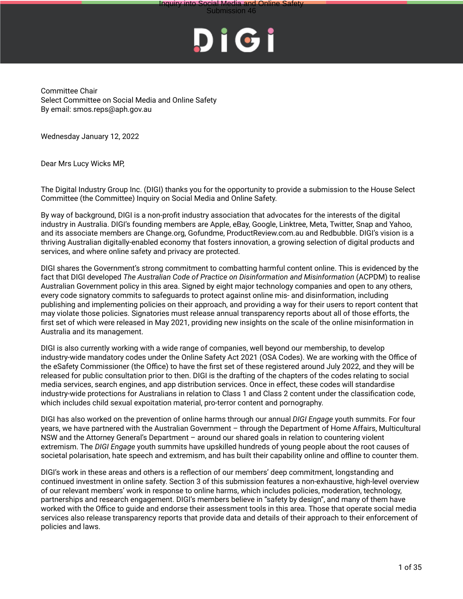## **Submission 46**



Committee Chair Select Committee on Social Media and Online Safety By email: smos.reps@aph.gov.au

Wednesday January 12, 2022

Dear Mrs Lucy Wicks MP,

The Digital Industry Group Inc. (DIGI) thanks you for the opportunity to provide a submission to the House Select Committee (the Committee) Inquiry on Social Media and Online Safety.

By way of background, DIGI is a non-profit industry association that advocates for the interests of the digital industry in Australia. DIGI's founding members are Apple, eBay, Google, Linktree, Meta, Twitter, Snap and Yahoo, and its associate members are Change.org, Gofundme, ProductReview.com.au and Redbubble. DIGI's vision is a thriving Australian digitally-enabled economy that fosters innovation, a growing selection of digital products and services, and where online safety and privacy are protected.

DIGI shares the Government's strong commitment to combatting harmful content online. This is evidenced by the fact that DIGI developed *The Australian Code of Practice on Disinformation and Misinformation* (ACPDM) to realise Australian Government policy in this area. Signed by eight major technology companies and open to any others, every code signatory commits to safeguards to protect against online mis- and disinformation, including publishing and implementing policies on their approach, and providing a way for their users to report content that may violate those policies. Signatories must release annual transparency reports about all of those efforts, the first set of which were released in May 2021, providing new insights on the scale of the online misinformation in Australia and its management.

DIGI is also currently working with a wide range of companies, well beyond our membership, to develop industry-wide mandatory codes under the Online Safety Act 2021 (OSA Codes). We are working with the Office of the eSafety Commissioner (the Office) to have the first set of these registered around July 2022, and they will be released for public consultation prior to then. DIGI is the drafting of the chapters of the codes relating to social media services, search engines, and app distribution services. Once in effect, these codes will standardise industry-wide protections for Australians in relation to Class 1 and Class 2 content under the classification code, which includes child sexual expoitation material, pro-terror content and pornography.

DIGI has also worked on the prevention of online harms through our annual *DIGI Engage* youth summits. For four years, we have partnered with the Australian Government – through the Department of Home Affairs, Multicultural NSW and the Attorney General's Department – around our shared goals in relation to countering violent extremism. The *DIGI Engage* youth summits have upskilled hundreds of young people about the root causes of societal polarisation, hate speech and extremism, and has built their capability online and offline to counter them.

DIGI's work in these areas and others is a reflection of our members' deep commitment, longstanding and continued investment in online safety. Section 3 of this submission features a non-exhaustive, high-level overview of our relevant members' work in response to online harms, which includes policies, moderation, technology, partnerships and research engagement. DIGI's members believe in "safety by design", and many of them have worked with the Office to guide and endorse their assessment tools in this area. Those that operate social media services also release transparency reports that provide data and details of their approach to their enforcement of policies and laws.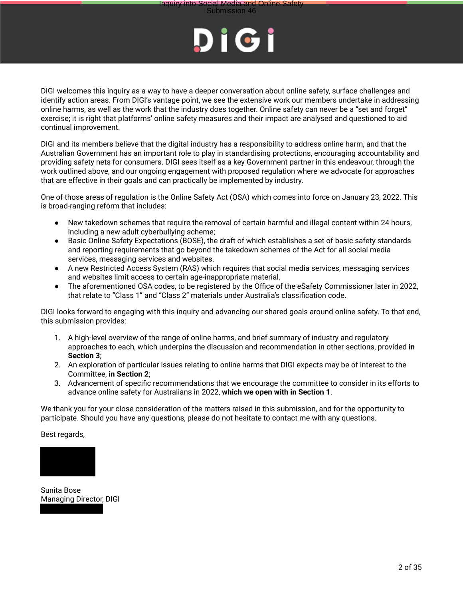



DIGI welcomes this inquiry as a way to have a deeper conversation about online safety, surface challenges and identify action areas. From DIGI's vantage point, we see the extensive work our members undertake in addressing online harms, as well as the work that the industry does together. Online safety can never be a "set and forget" exercise; it is right that platforms' online safety measures and their impact are analysed and questioned to aid continual improvement.

DIGI and its members believe that the digital industry has a responsibility to address online harm, and that the Australian Government has an important role to play in standardising protections, encouraging accountability and providing safety nets for consumers. DIGI sees itself as a key Government partner in this endeavour, through the work outlined above, and our ongoing engagement with proposed regulation where we advocate for approaches that are effective in their goals and can practically be implemented by industry.

One of those areas of regulation is the Online Safety Act (OSA) which comes into force on January 23, 2022. This is broad-ranging reform that includes:

- New takedown schemes that require the removal of certain harmful and illegal content within 24 hours, including a new adult cyberbullying scheme;
- Basic Online Safety Expectations (BOSE), the draft of which establishes a set of basic safety standards and reporting requirements that go beyond the takedown schemes of the Act for all social media services, messaging services and websites.
- A new Restricted Access System (RAS) which requires that social media services, messaging services and websites limit access to certain age-inappropriate material.
- The aforementioned OSA codes, to be registered by the Office of the eSafety Commissioner later in 2022, that relate to "Class 1" and "Class 2" materials under Australia's classification code.

DIGI looks forward to engaging with this inquiry and advancing our shared goals around online safety. To that end, this submission provides:

- 1. A high-level overview of the range of online harms, and brief summary of industry and regulatory approaches to each, which underpins the discussion and recommendation in other sections, provided **in Section 3**;
- 2. An exploration of particular issues relating to online harms that DIGI expects may be of interest to the Committee, **in Section 2**;
- 3. Advancement of specific recommendations that we encourage the committee to consider in its efforts to advance online safety for Australians in 2022, **which we open with in Section 1**.

We thank you for your close consideration of the matters raised in this submission, and for the opportunity to participate. Should you have any questions, please do not hesitate to contact me with any questions.

Best regards,



Sunita Bose Managing Director, DIGI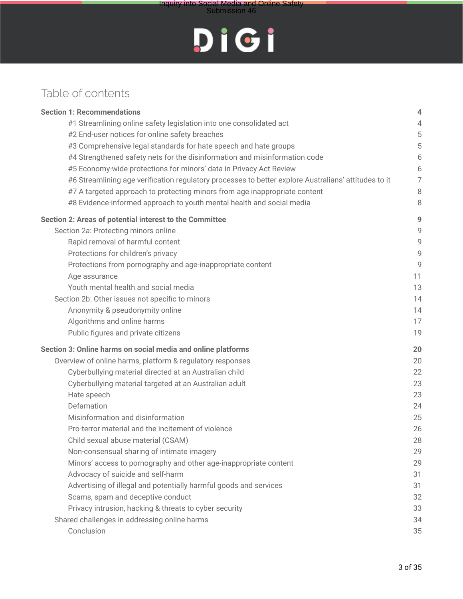

### Table of contents

| <b>Section 1: Recommendations</b>                                                                    | 4              |
|------------------------------------------------------------------------------------------------------|----------------|
| #1 Streamlining online safety legislation into one consolidated act                                  | 4              |
| #2 End-user notices for online safety breaches                                                       | 5              |
| #3 Comprehensive legal standards for hate speech and hate groups                                     | 5              |
| #4 Strengthened safety nets for the disinformation and misinformation code                           | 6              |
| #5 Economy-wide protections for minors' data in Privacy Act Review                                   | 6              |
| #6 Streamlining age verification regulatory processes to better explore Australians' attitudes to it | $\overline{7}$ |
| #7 A targeted approach to protecting minors from age inappropriate content                           | 8              |
| #8 Evidence-informed approach to youth mental health and social media                                | 8              |
| Section 2: Areas of potential interest to the Committee                                              | 9              |
| Section 2a: Protecting minors online                                                                 | 9              |
| Rapid removal of harmful content                                                                     | 9              |
| Protections for children's privacy                                                                   | 9              |
| Protections from pornography and age-inappropriate content                                           | 9              |
| Age assurance                                                                                        | 11             |
| Youth mental health and social media                                                                 | 13             |
| Section 2b: Other issues not specific to minors                                                      | 14             |
| Anonymity & pseudonymity online                                                                      | 14             |
| Algorithms and online harms                                                                          | 17             |
| Public figures and private citizens                                                                  | 19             |
| Section 3: Online harms on social media and online platforms                                         | 20             |
| Overview of online harms, platform & regulatory responses                                            | 20             |
| Cyberbullying material directed at an Australian child                                               | 22             |
| Cyberbullying material targeted at an Australian adult                                               | 23             |
| Hate speech                                                                                          | 23             |
| Defamation                                                                                           | 24             |
| Misinformation and disinformation                                                                    | 25             |
| Pro-terror material and the incitement of violence                                                   | 26             |
| Child sexual abuse material (CSAM)                                                                   | 28             |
| Non-consensual sharing of intimate imagery                                                           | 29             |
| Minors' access to pornography and other age-inappropriate content                                    | 29             |
| Advocacy of suicide and self-harm                                                                    | 31             |
| Advertising of illegal and potentially harmful goods and services                                    | 31             |
| Scams, spam and deceptive conduct                                                                    | 32             |
| Privacy intrusion, hacking & threats to cyber security                                               | 33             |
| Shared challenges in addressing online harms                                                         | 34             |
| Conclusion                                                                                           | 35             |
|                                                                                                      |                |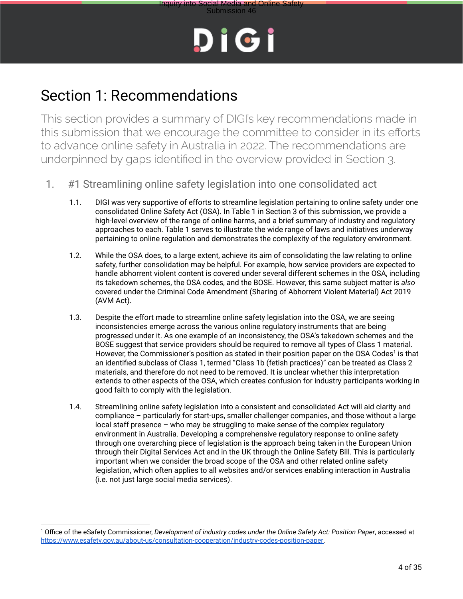



## Section 1: Recommendations

This section provides a summary of DIGI's key recommendations made in this submission that we encourage the committee to consider in its efforts to advance online safety in Australia in 2022. The recommendations are underpinned by gaps identified in the overview provided in Section 3.

- 1. #1 Streamlining online safety legislation into one consolidated act
	- 1.1. DIGI was very supportive of efforts to streamline legislation pertaining to online safety under one consolidated Online Safety Act (OSA). In Table 1 in Section 3 of this submission, we provide a high-level overview of the range of online harms, and a brief summary of industry and regulatory approaches to each. Table 1 serves to illustrate the wide range of laws and initiatives underway pertaining to online regulation and demonstrates the complexity of the regulatory environment.
	- 1.2. While the OSA does, to a large extent, achieve its aim of consolidating the law relating to online safety, further consolidation may be helpful. For example, how service providers are expected to handle abhorrent violent content is covered under several different schemes in the OSA, including its takedown schemes, the OSA codes, and the BOSE. However, this same subject matter is *also* covered under the Criminal Code Amendment (Sharing of Abhorrent Violent Material) Act 2019 (AVM Act).
	- 1.3. Despite the effort made to streamline online safety legislation into the OSA, we are seeing inconsistencies emerge across the various online regulatory instruments that are being progressed under it. As one example of an inconsistency, the OSA's takedown schemes and the BOSE suggest that service providers should be required to remove all types of Class 1 material. However, the Commissioner's position as stated in their position paper on the OSA Codes<sup>1</sup> is that an identified subclass of Class 1, termed "Class 1b (fetish practices)" can be treated as Class 2 materials, and therefore do not need to be removed. It is unclear whether this interpretation extends to other aspects of the OSA, which creates confusion for industry participants working in good faith to comply with the legislation.
	- 1.4. Streamlining online safety legislation into a consistent and consolidated Act will aid clarity and compliance – particularly for start-ups, smaller challenger companies, and those without a large local staff presence – who may be struggling to make sense of the complex regulatory environment in Australia. Developing a comprehensive regulatory response to online safety through one overarching piece of legislation is the approach being taken in the European Union through their Digital Services Act and in the UK through the Online Safety Bill. This is particularly important when we consider the broad scope of the OSA and other related online safety legislation, which often applies to all websites and/or services enabling interaction in Australia (i.e. not just large social media services).

<sup>1</sup> Office of the eSafety Commissioner, *Development of industry codes under the Online Safety Act: Position Paper*, accessed at https://www.esafety.gov.au/about-us/consultation-cooperation/industry-codes-position-paper.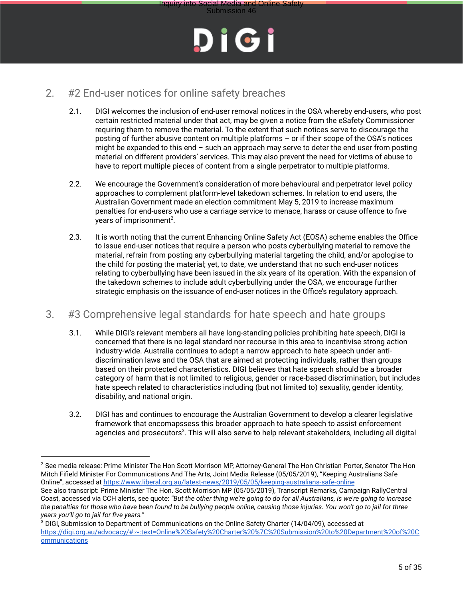

#### 2. #2 End-user notices for online safety breaches

- 2.1. DIGI welcomes the inclusion of end-user removal notices in the OSA whereby end-users, who post certain restricted material under that act, may be given a notice from the eSafety Commissioner requiring them to remove the material. To the extent that such notices serve to discourage the posting of further abusive content on multiple platforms – or if their scope of the OSA's notices might be expanded to this end  $-$  such an approach may serve to deter the end user from posting material on different providers' services. This may also prevent the need for victims of abuse to have to report multiple pieces of content from a single perpetrator to multiple platforms.
- 2.2. We encourage the Government's consideration of more behavioural and perpetrator level policy approaches to complement platform-level takedown schemes. In relation to end users, the Australian Government made an election commitment May 5, 2019 to increase maximum penalties for end-users who use a carriage service to menace, harass or cause offence to five years of imprisonment<sup>2</sup>.
- 2.3. It is worth noting that the current Enhancing Online Safety Act (EOSA) scheme enables the Office to issue end-user notices that require a person who posts cyberbullying material to remove the material, refrain from posting any cyberbullying material targeting the child, and/or apologise to the child for posting the material; yet, to date, we understand that no such end-user notices relating to cyberbullying have been issued in the six years of its operation. With the expansion of the takedown schemes to include adult cyberbullying under the OSA, we encourage further strategic emphasis on the issuance of end-user notices in the Office's regulatory approach.

#### 3. #3 Comprehensive legal standards for hate speech and hate groups

- 3.1. While DIGI's relevant members all have long-standing policies prohibiting hate speech, DIGI is concerned that there is no legal standard nor recourse in this area to incentivise strong action industry-wide. Australia continues to adopt a narrow approach to hate speech under antidiscrimination laws and the OSA that are aimed at protecting individuals, rather than groups based on their protected characteristics. DIGI believes that hate speech should be a broader category of harm that is not limited to religious, gender or race-based discrimination, but includes hate speech related to characteristics including (but not limited to) sexuality, gender identity, disability, and national origin.
- 3.2. DIGI has and continues to encourage the Australian Government to develop a clearer legislative framework that encomapssess this broader approach to hate speech to assist enforcement agencies and prosecutors<sup>3</sup>. This will also serve to help relevant stakeholders, including all digital

<sup>&</sup>lt;sup>2</sup> See media release: Prime Minister The Hon Scott Morrison MP, Attorney-General The Hon Christian Porter, Senator The Hon Mitch Fifield Minister For Communications And The Arts, Joint Media Release (05/05/2019), "Keeping Australians Safe Online", accessed at https://www.liberal.org.au/latest-news/2019/05/05/keeping-australians-safe-online See also transcript: Prime Minister The Hon. Scott Morrison MP (05/05/2019), Transcript Remarks, Campaign RallyCentral Coast, accessed via CCH alerts, see quote: *"But the other thing we're going to do for all Australians, is we're going to increase*

*the penalties for those who have been found to be bullying people online, causing those injuries. You won't go to jail for three years you'll go to jail for five years."*

<sup>&</sup>lt;sup>3</sup> DIGI, Submission to Department of Communications on the Online Safety Charter (14/04/09), accessed at https://digi.org.au/advocacy/#:~:text=Online%20Safety%20Charter%20%7C%20Submission%20to%20Department%20of%20C ommunications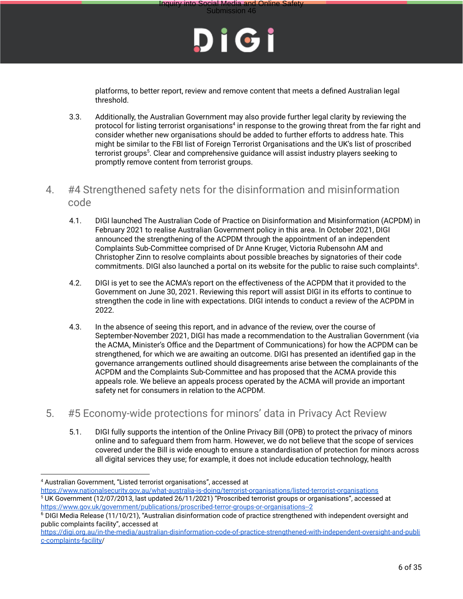

platforms, to better report, review and remove content that meets a defined Australian legal threshold.

3.3. Additionally, the Australian Government may also provide further legal clarity by reviewing the protocol for listing terrorist organisations<sup>4</sup> in response to the growing threat from the far right and consider whether new organisations should be added to further efforts to address hate. This might be similar to the FBI list of Foreign Terrorist Organisations and the UK's list of proscribed terrorist groups<sup>5</sup>. Clear and comprehensive guidance will assist industry players seeking to promptly remove content from terrorist groups.

#### 4. #4 Strengthened safety nets for the disinformation and misinformation code

- 4.1. DIGI launched The Australian Code of Practice on Disinformation and Misinformation (ACPDM) in February 2021 to realise Australian Government policy in this area. In October 2021, DIGI announced the strengthening of the ACPDM through the appointment of an independent Complaints Sub-Committee comprised of Dr Anne Kruger, Victoria Rubensohn AM and Christopher Zinn to resolve complaints about possible breaches by signatories of their code commitments. DIGI also launched a portal on its website for the public to raise such complaints<sup>6</sup>.
- 4.2. DIGI is yet to see the ACMA's report on the effectiveness of the ACPDM that it provided to the Government on June 30, 2021. Reviewing this report will assist DIGI in its efforts to continue to strengthen the code in line with expectations. DIGI intends to conduct a review of the ACPDM in 2022.
- 4.3. In the absence of seeing this report, and in advance of the review, over the course of September-November 2021, DIGI has made a recommendation to the Australian Government (via the ACMA, Minister's Office and the Department of Communications) for how the ACPDM can be strengthened, for which we are awaiting an outcome. DIGI has presented an identified gap in the governance arrangements outlined should disagreements arise between the complainants of the ACPDM and the Complaints Sub-Committee and has proposed that the ACMA provide this appeals role. We believe an appeals process operated by the ACMA will provide an important safety net for consumers in relation to the ACPDM.
- 5. #5 Economy-wide protections for minors' data in Privacy Act Review
	- 5.1. DIGI fully supports the intention of the Online Privacy Bill (OPB) to protect the privacy of minors online and to safeguard them from harm. However, we do not believe that the scope of services covered under the Bill is wide enough to ensure a standardisation of protection for minors across all digital services they use; for example, it does not include education technology, health

<sup>4</sup> Australian Government, "Listed terrorist organisations", accessed at

<sup>5</sup> UK Government (12/07/2013, last updated 26/11/2021) "Proscribed terrorist groups or organisations", accessed at https://www.gov.uk/government/publications/proscribed-terror-groups-or-organisations--2 https://www.nationalsecurity.gov.au/what-australia-is-doing/terrorist-organisations/listed-terrorist-organisations

 $6$  DIGI Media Release (11/10/21), "Australian disinformation code of practice strengthened with independent oversight and public complaints facility", accessed at

https://digi.org.au/in-the-media/australian-disinformation-code-of-practice-strengthened-with-independent-oversight-and-publi c-complaints-facility/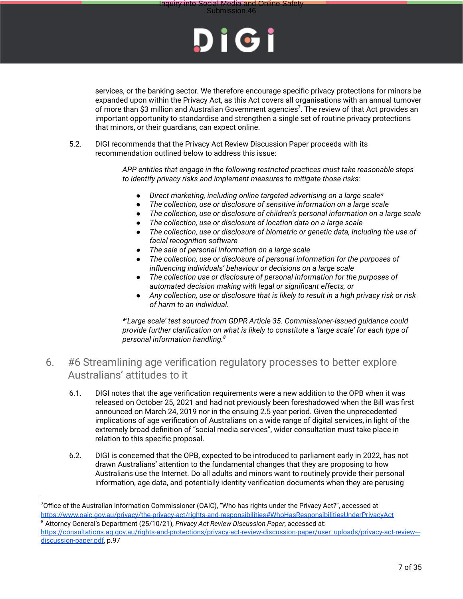

services, or the banking sector. We therefore encourage specific privacy protections for minors be expanded upon within the Privacy Act, as this Act covers all organisations with an annual turnover of more than \$3 million and Australian Government agencies<sup>7</sup>. The review of that Act provides an important opportunity to standardise and strengthen a single set of routine privacy protections that minors, or their guardians, can expect online.

5.2. DIGI recommends that the Privacy Act Review Discussion Paper proceeds with its recommendation outlined below to address this issue:

> *APP entities that engage in the following restricted practices must take reasonable steps to identify privacy risks and implement measures to mitigate those risks:*

- *● Direct marketing, including online targeted advertising on a large scale\**
- *● The collection, use or disclosure of sensitive information on a large scale*
- *● The collection, use or disclosure of children's personal information on a large scale*
- *● The collection, use or disclosure of location data on a large scale*
- *● The collection, use or disclosure of biometric or genetic data, including the use of facial recognition software*
- *● The sale of personal information on a large scale*
- *● The collection, use or disclosure of personal information for the purposes of influencing individuals' behaviour or decisions on a large scale*
- *● The collection use or disclosure of personal information for the purposes of automated decision making with legal or significant effects, or*
- *● Any collection, use or disclosure that is likely to result in a high privacy risk or risk of harm to an individual.*

*\*'Large scale' test sourced from GDPR Article 35. Commissioner-issued guidance could provide further clarification on what is likely to constitute a 'large scale' for each type of personal information handling.<sup>8</sup>*

#### 6. #6 Streamlining age verification regulatory processes to better explore Australians' attitudes to it

- 6.1. DIGI notes that the age verification requirements were a new addition to the OPB when it was released on October 25, 2021 and had not previously been foreshadowed when the Bill was first announced on March 24, 2019 nor in the ensuing 2.5 year period. Given the unprecedented implications of age verification of Australians on a wide range of digital services, in light of the extremely broad definition of "social media services", wider consultation must take place in relation to this specific proposal.
- 6.2. DIGI is concerned that the OPB, expected to be introduced to parliament early in 2022, has not drawn Australians' attention to the fundamental changes that they are proposing to how Australians use the Internet. Do all adults and minors want to routinely provide their personal information, age data, and potentially identity verification documents when they are perusing

 $7$ Office of the Australian Information Commissioner (OAIC), "Who has rights under the Privacy Act?", accessed at https://www.oaic.gov.au/privacy/the-privacy-act/rights-and-responsibilities#WhoHasResponsibilitiesUnderPrivacyAct

<sup>8</sup> Attorney General's Department (25/10/21), *Privacy Act Review Discussion Paper*, accessed at: https://consultations.ag.gov.au/rights-and-protections/privacy-act-review-discussion-paper/user uploads/privacy-act-review-- discussion-paper.pdf, p.97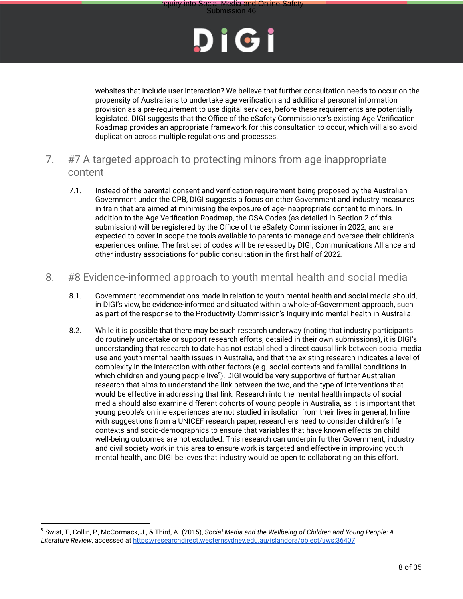



websites that include user interaction? We believe that further consultation needs to occur on the propensity of Australians to undertake age verification and additional personal information provision as a pre-requirement to use digital services, before these requirements are potentially legislated. DIGI suggests that the Office of the eSafety Commissioner's existing Age Verification Roadmap provides an appropriate framework for this consultation to occur, which will also avoid duplication across multiple regulations and processes.

- 7. #7 A targeted approach to protecting minors from age inappropriate content
	- 7.1. Instead of the parental consent and verification requirement being proposed by the Australian Government under the OPB, DIGI suggests a focus on other Government and industry measures in train that are aimed at minimising the exposure of age-inappropriate content to minors. In addition to the Age Verification Roadmap, the OSA Codes (as detailed in Section 2 of this submission) will be registered by the Office of the eSafety Commissioner in 2022, and are expected to cover in scope the tools available to parents to manage and oversee their children's experiences online. The first set of codes will be released by DIGI, Communications Alliance and other industry associations for public consultation in the first half of 2022.
- 8. #8 Evidence-informed approach to youth mental health and social media
	- 8.1. Government recommendations made in relation to youth mental health and social media should, in DIGI's view, be evidence-informed and situated within a whole-of-Government approach, such as part of the response to the Productivity Commission's Inquiry into mental health in Australia.
	- 8.2. While it is possible that there may be such research underway (noting that industry participants do routinely undertake or support research efforts, detailed in their own submissions), it is DIGI's understanding that research to date has not established a direct causal link between social media use and youth mental health issues in Australia, and that the existing research indicates a level of complexity in the interaction with other factors (e.g. social contexts and familial conditions in which children and young people live<sup>9</sup>). DIGI would be very supportive of further Australian research that aims to understand the link between the two, and the type of interventions that would be effective in addressing that link. Research into the mental health impacts of social media should also examine different cohorts of young people in Australia, as it is important that young people's online experiences are not studied in isolation from their lives in general; In line with suggestions from a UNICEF research paper, researchers need to consider children's life contexts and socio-demographics to ensure that variables that have known effects on child well-being outcomes are not excluded. This research can underpin further Government, industry and civil society work in this area to ensure work is targeted and effective in improving youth mental health, and DIGI believes that industry would be open to collaborating on this effort.

<sup>9</sup> Swist, T., Collin, P., McCormack, J., & Third, A. (2015), *Social Media and the Wellbeing of Children and Young People: A Literature Review*, accessed at https://researchdirect.westernsydney.edu.au/islandora/object/uws:36407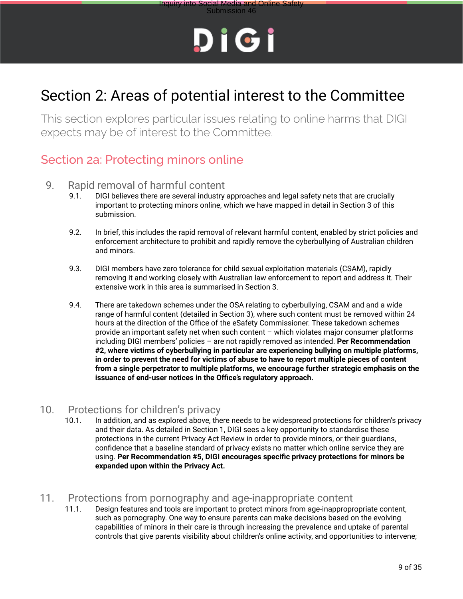# Submission 46



# Section 2: Areas of potential interest to the Committee

This section explores particular issues relating to online harms that DIGI expects may be of interest to the Committee.

### Section 2a: Protecting minors online

# 9. Rapid removal of harmful content<br>9.1. DIGI believes there are several industry

- 9.1. DIGI believes there are several industry approaches and legal safety nets that are crucially important to protecting minors online, which we have mapped in detail in Section 3 of this submission.
- 9.2. In brief, this includes the rapid removal of relevant harmful content, enabled by strict policies and enforcement architecture to prohibit and rapidly remove the cyberbullying of Australian children and minors.
- 9.3. DIGI members have zero tolerance for child sexual exploitation materials (CSAM), rapidly removing it and working closely with Australian law enforcement to report and address it. Their extensive work in this area is summarised in Section 3.
- 9.4. There are takedown schemes under the OSA relating to cyberbullying, CSAM and and a wide range of harmful content (detailed in Section 3), where such content must be removed within 24 hours at the direction of the Office of the eSafety Commissioner. These takedown schemes provide an important safety net when such content – which violates major consumer platforms including DIGI members' policies – are not rapidly removed as intended. **Per Recommendation #2, where victims of cyberbullying in particular are experiencing bullying on multiple platforms, in order to prevent the need for victims of abuse to have to report multiple pieces of content from a single perpetrator to multiple platforms, we encourage further strategic emphasis on the issuance of end-user notices in the Office's regulatory approach.**

# 10. Protections for children's privacy<br>10.1. In addition, and as explored above, the

In addition, and as explored above, there needs to be widespread protections for children's privacy and their data. As detailed in Section 1, DIGI sees a key opportunity to standardise these protections in the current Privacy Act Review in order to provide minors, or their guardians, confidence that a baseline standard of privacy exists no matter which online service they are using. **Per Recommendation #5, DIGI encourages specific privacy protections for minors be expanded upon within the Privacy Act.**

#### 11. Protections from pornography and age-inappropriate content

11.1. Design features and tools are important to protect minors from age-inappropropriate content, such as pornography. One way to ensure parents can make decisions based on the evolving capabilities of minors in their care is through increasing the prevalence and uptake of parental controls that give parents visibility about children's online activity, and opportunities to intervene;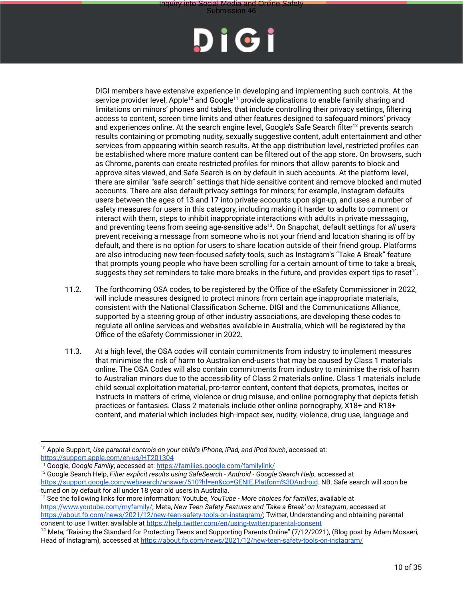

Submission 46

DIGI members have extensive experience in developing and implementing such controls. At the service provider level, Apple<sup>10</sup> and Google<sup>11</sup> provide applications to enable family sharing and limitations on minors' phones and tables, that include controlling their privacy settings, filtering access to content, screen time limits and other features designed to safeguard minors' privacy and experiences online. At the search engine level, Google's Safe Search filter<sup>12</sup> prevents search results containing or promoting nudity, sexually suggestive content, adult entertainment and other services from appearing within search results. At the app distribution level, restricted profiles can be established where more mature content can be filtered out of the app store. On browsers, such as Chrome, parents can create restricted profiles for minors that allow parents to block and approve sites viewed, and Safe Search is on by default in such accounts. At the platform level, there are similar "safe search" settings that hide sensitive content and remove blocked and muted accounts. There are also default privacy settings for minors; for example, Instagram defaults users between the ages of 13 and 17 into private accounts upon sign-up, and uses a number of safety measures for users in this category, including making it harder to adults to comment or interact with them, steps to inhibit inappropriate interactions with adults in private messaging, and preventing teens from seeing age-sensitive ads<sup>13</sup>. On Snapchat, default settings for *all users* prevent receiving a message from someone who is not your friend and location sharing is off by default, and there is no option for users to share location outside of their friend group. Platforms are also introducing new teen-focused safety tools, such as Instagram's "Take A Break" feature that prompts young people who have been scrolling for a certain amount of time to take a break, suggests they set reminders to take more breaks in the future, and provides expert tips to reset<sup>14</sup>.

- 11.2. The forthcoming OSA codes, to be registered by the Office of the eSafety Commissioner in 2022, will include measures designed to protect minors from certain age inappropriate materials, consistent with the National Classification Scheme. DIGI and the Communications Alliance, supported by a steering group of other industry associations, are developing these codes to regulate all online services and websites available in Australia, which will be registered by the Office of the eSafety Commissioner in 2022.
- 11.3. At a high level, the OSA codes will contain commitments from industry to implement measures that minimise the risk of harm to Australian end-users that may be caused by Class 1 materials online. The OSA Codes will also contain commitments from industry to minimise the risk of harm to Australian minors due to the accessibility of Class 2 materials online. Class 1 materials include child sexual exploitation material, pro-terror content, content that depicts, promotes, incites or instructs in matters of crime, violence or drug misuse, and online pornography that depicts fetish practices or fantasies. Class 2 materials include other online pornography, X18+ and R18+ content, and material which includes high-impact sex, nudity, violence, drug use, language and

<sup>10</sup> Apple Support, *Use parental controls on your child's iPhone, iPad, and iPod touch*, accessed at: https://support.apple.com/en-us/HT201304

<sup>11</sup> Google, *Google Family*, accessed at: https://families.google.com/familylink/

<sup>12</sup> Google Search Help, *Filter explicit results using SafeSearch - Android - Google Search Help*, accessed at https://support.google.com/websearch/answer/510?hl=en&co=GENIE.Platform%3DAndroid. NB. Safe search will soon be turned on by default for all under 18 year old users in Australia.

<sup>13</sup> See the following links for more information: Youtube, *YouTube - More choices for families*, available at https://www.youtube.com/myfamily/; Meta, *New Teen Safety Features and 'Take a Break' on Instagram*, accessed at https://about.fb.com/news/2021/12/new-teen-safety-tools-on-instagram/; Twitter, Understanding and obtaining parental consent to use Twitter, available at https://help.twitter.com/en/using-twitter/parental-consent

<sup>&</sup>lt;sup>14</sup> Meta, "Raising the Standard for Protecting Teens and Supporting Parents Online" (7/12/2021), (Blog post by Adam Mosseri, Head of Instagram), accessed at https://about.fb.com/news/2021/12/new-teen-safety-tools-on-instagram/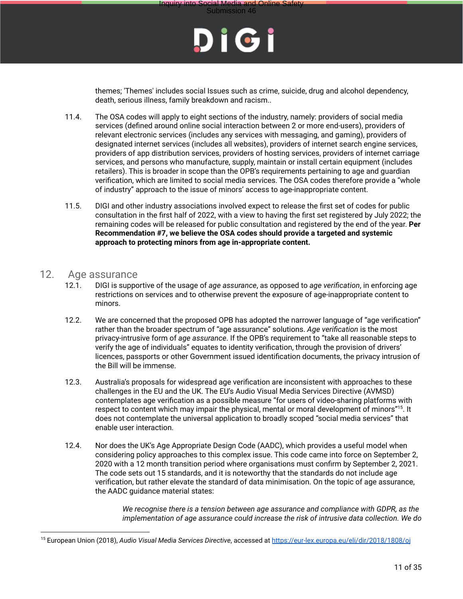

themes; 'Themes' includes social Issues such as crime, suicide, drug and alcohol dependency, death, serious illness, family breakdown and racism..

- 11.4. The OSA codes will apply to eight sections of the industry, namely: providers of social media services (defined around online social interaction between 2 or more end-users), providers of relevant electronic services (includes any services with messaging, and gaming), providers of designated internet services (includes all websites), providers of internet search engine services, providers of app distribution services, providers of hosting services, providers of internet carriage services, and persons who manufacture, supply, maintain or install certain equipment (includes retailers). This is broader in scope than the OPB's requirements pertaining to age and guardian verification, which are limited to social media services. The OSA codes therefore provide a "whole of industry" approach to the issue of minors' access to age-inappropriate content.
- 11.5. DIGI and other industry associations involved expect to release the first set of codes for public consultation in the first half of 2022, with a view to having the first set registered by July 2022; the remaining codes will be released for public consultation and registered by the end of the year. **Per Recommendation #7, we believe the OSA codes should provide a targeted and systemic approach to protecting minors from age in-appropriate content.**

#### 12. Age assurance

- 12.1. DIGI is supportive of the usage of *age assurance*, as opposed to *age verification*, in enforcing age restrictions on services and to otherwise prevent the exposure of age-inappropriate content to minors.
- 12.2. We are concerned that the proposed OPB has adopted the narrower language of "age verification" rather than the broader spectrum of "age assurance" solutions. *Age verification* is the most privacy-intrusive form of *age assurance*. If the OPB's requirement to "take all reasonable steps to verify the age of individuals" equates to identity verification, through the provision of drivers' licences, passports or other Government issued identification documents, the privacy intrusion of the Bill will be immense.
- 12.3. Australia's proposals for widespread age verification are inconsistent with approaches to these challenges in the EU and the UK. The EU's Audio Visual Media Services Directive (AVMSD) contemplates age verification as a possible measure "for users of video-sharing platforms with respect to content which may impair the physical, mental or moral development of minors"<sup>15</sup>. It does not contemplate the universal application to broadly scoped "social media services" that enable user interaction.
- 12.4. Nor does the UK's Age Appropriate Design Code (AADC), which provides a useful model when considering policy approaches to this complex issue. This code came into force on September 2, 2020 with a 12 month transition period where organisations must confirm by September 2, 2021. The code sets out 15 standards, and it is noteworthy that the standards do not include age verification, but rather elevate the standard of data minimisation. On the topic of age assurance, the AADC guidance material states:

*We recognise there is a tension between age assurance and compliance with GDPR, as the implementation of age assurance could increase the risk of intrusive data collection. We do*

<sup>15</sup> European Union (2018), *Audio Visual Media Services Directive*, accessed at https://eur-lex.europa.eu/eli/dir/2018/1808/oj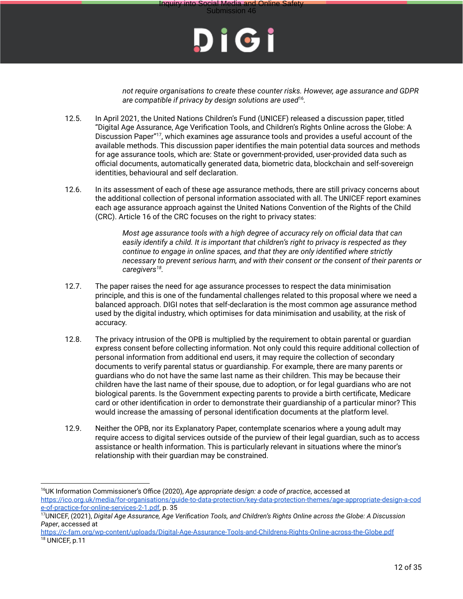

icial Media and Online<br>Submission 46

*not require organisations to create these counter risks. However, age assurance and GDPR are compatible if privacy by design solutions are used*<sup>16</sup> *.*

- 12.5. In April 2021, the United Nations Children's Fund (UNICEF) released a discussion paper, titled "Digital Age Assurance, Age Verification Tools, and Children's Rights Online across the Globe: A Discussion Paper"<sup>17</sup>, which examines age assurance tools and provides a useful account of the available methods. This discussion paper identifies the main potential data sources and methods for age assurance tools, which are: State or government-provided, user-provided data such as official documents, automatically generated data, biometric data, blockchain and self-sovereign identities, behavioural and self declaration.
- 12.6. In its assessment of each of these age assurance methods, there are still privacy concerns about the additional collection of personal information associated with all. The UNICEF report examines each age assurance approach against the United Nations Convention of the Rights of the Child (CRC). Article 16 of the CRC focuses on the right to privacy states:

*Most age assurance tools with a high degree of accuracy rely on official data that can easily identify a child. It is important that children's right to privacy is respected as they continue to engage in online spaces, and that they are only identified where strictly necessary to prevent serious harm, and with their consent or the consent of their parents or caregivers<sup>18</sup> .*

- 12.7. The paper raises the need for age assurance processes to respect the data minimisation principle, and this is one of the fundamental challenges related to this proposal where we need a balanced approach. DIGI notes that self-declaration is the most common age assurance method used by the digital industry, which optimises for data minimisation and usability, at the risk of accuracy.
- 12.8. The privacy intrusion of the OPB is multiplied by the requirement to obtain parental or guardian express consent before collecting information. Not only could this require additional collection of personal information from additional end users, it may require the collection of secondary documents to verify parental status or guardianship. For example, there are many parents or guardians who do not have the same last name as their children. This may be because their children have the last name of their spouse, due to adoption, or for legal guardians who are not biological parents. Is the Government expecting parents to provide a birth certificate, Medicare card or other identification in order to demonstrate their guardianship of a particular minor? This would increase the amassing of personal identification documents at the platform level.
- 12.9. Neither the OPB, nor its Explanatory Paper, contemplate scenarios where a young adult may require access to digital services outside of the purview of their legal guardian, such as to access assistance or health information. This is particularly relevant in situations where the minor's relationship with their guardian may be constrained.

<sup>16</sup>UK Information Commissioner's Office (2020), *Age appropriate design: a code of practice*, accessed at https://ico.org.uk/media/for-organisations/guide-to-data-protection/key-data-protection-themes/age-appropriate-design-a-cod e-of-practice-for-online-services-2-1.pdf, p. 35

<sup>17</sup>UNICEF, (2021), *Digital Age Assurance, Age Verification Tools, and Children's Rights Online across the Globe: A Discussion Paper*, accessed at

<sup>&</sup>lt;sup>18</sup> UNICEF, p.11 https://c-fam.org/wp-content/uploads/Digital-Age-Assurance-Tools-and-Childrens-Rights-Online-across-the-Globe.pdf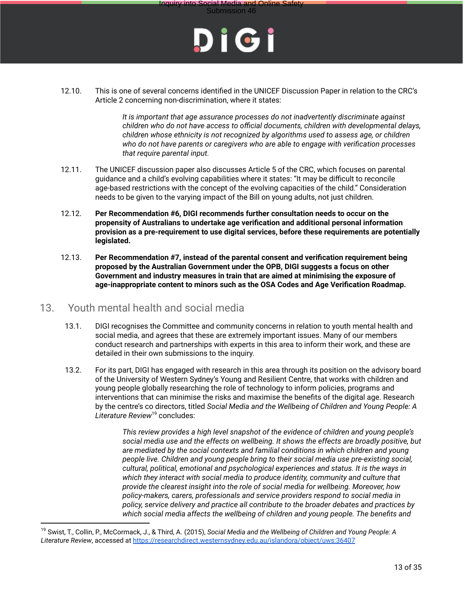



12.10. This is one of several concerns identified in the UNICEF Discussion Paper in relation to the CRC's Article 2 concerning non-discrimination, where it states:

> *It is important that age assurance processes do not inadvertently discriminate against children who do not have access to official documents, children with developmental delays, children whose ethnicity is not recognized by algorithms used to assess age, or children who do not have parents or caregivers who are able to engage with verification processes that require parental input.*

- 12.11. The UNICEF discussion paper also discusses Article 5 of the CRC, which focuses on parental guidance and a child's evolving capabilities where it states: "It may be difficult to reconcile age-based restrictions with the concept of the evolving capacities of the child." Consideration needs to be given to the varying impact of the Bill on young adults, not just children.
- 12.12. **Per Recommendation #6, DIGI recommends further consultation needs to occur on the propensity of Australians to undertake age verification and additional personal information provision as a pre-requirement to use digital services, before these requirements are potentially legislated.**
- 12.13. **Per Recommendation #7, instead of the parental consent and verification requirement being proposed by the Australian Government under the OPB, DIGI suggests a focus on other Government and industry measures in train that are aimed at minimising the exposure of age-inappropriate content to minors such as the OSA Codes and Age Verification Roadmap.**

#### 13. Youth mental health and social media

- 13.1. DIGI recognises the Committee and community concerns in relation to youth mental health and social media, and agrees that these are extremely important issues. Many of our members conduct research and partnerships with experts in this area to inform their work, and these are detailed in their own submissions to the inquiry.
- 13.2. For its part, DIGI has engaged with research in this area through its position on the advisory board of the University of Western Sydney's Young and Resilient Centre, that works with children and young people globally researching the role of technology to inform policies, programs and interventions that can minimise the risks and maximise the benefits of the digital age. Research by the centre's co directors, titled *Social Media and the Wellbeing of Children and Young People: A Literature Review*<sup>19</sup> concludes:

*This review provides a high level snapshot of the evidence of children and young people's social media use and the effects on wellbeing. It shows the effects are broadly positive, but are mediated by the social contexts and familial conditions in which children and young people live. Children and young people bring to their social media use pre-existing social, cultural, political, emotional and psychological experiences and status. It is the ways in which they interact with social media to produce identity, community and culture that provide the clearest insight into the role of social media for wellbeing. Moreover, how policy-makers, carers, professionals and service providers respond to social media in policy, service delivery and practice all contribute to the broader debates and practices by which social media affects the wellbeing of children and young people. The benefits and*

<sup>19</sup> Swist, T., Collin, P., McCormack, J., & Third, A. (2015), *Social Media and the Wellbeing of Children and Young People: A Literature Review*, accessed at https://researchdirect.westernsydney.edu.au/islandora/object/uws:36407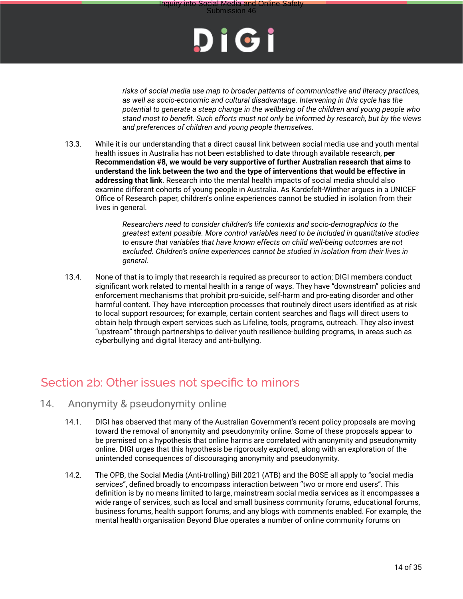



*risks of social media use map to broader patterns of communicative and literacy practices, as well as socio-economic and cultural disadvantage. Intervening in this cycle has the potential to generate a steep change in the wellbeing of the children and young people who stand most to benefit. Such efforts must not only be informed by research, but by the views and preferences of children and young people themselves.*

13.3. While it is our understanding that a direct causal link between social media use and youth mental health issues in Australia has not been established to date through available research, **per Recommendation #8, we would be very supportive of further Australian research that aims to understand the link between the two and the type of interventions that would be effective in addressing that link**. Research into the mental health impacts of social media should also examine different cohorts of young people in Australia. As Kardefelt-Winther argues in a UNICEF Office of Research paper, children's online experiences cannot be studied in isolation from their lives in general.

> *Researchers need to consider children's life contexts and socio-demographics to the greatest extent possible. More control variables need to be included in quantitative studies to ensure that variables that have known effects on child well-being outcomes are not excluded. Children's online experiences cannot be studied in isolation from their lives in general.*

13.4. None of that is to imply that research is required as precursor to action; DIGI members conduct significant work related to mental health in a range of ways. They have "downstream" policies and enforcement mechanisms that prohibit pro-suicide, self-harm and pro-eating disorder and other harmful content. They have interception processes that routinely direct users identified as at risk to local support resources; for example, certain content searches and flags will direct users to obtain help through expert services such as Lifeline, tools, programs, outreach. They also invest "upstream" through partnerships to deliver youth resilience-building programs, in areas such as cyberbullying and digital literacy and anti-bullying.

### Section 2b: Other issues not specific to minors

#### 14. Anonymity & pseudonymity online

- 14.1. DIGI has observed that many of the Australian Government's recent policy proposals are moving toward the removal of anonymity and pseudonymity online. Some of these proposals appear to be premised on a hypothesis that online harms are correlated with anonymity and pseudonymity online. DIGI urges that this hypothesis be rigorously explored, along with an exploration of the unintended consequences of discouraging anonymity and pseudonymity.
- 14.2. The OPB, the Social Media (Anti-trolling) Bill 2021 (ATB) and the BOSE all apply to "social media services", defined broadly to encompass interaction between "two or more end users". This definition is by no means limited to large, mainstream social media services as it encompasses a wide range of services, such as local and small business community forums, educational forums, business forums, health support forums, and any blogs with comments enabled. For example, the mental health organisation Beyond Blue operates a number of online community forums on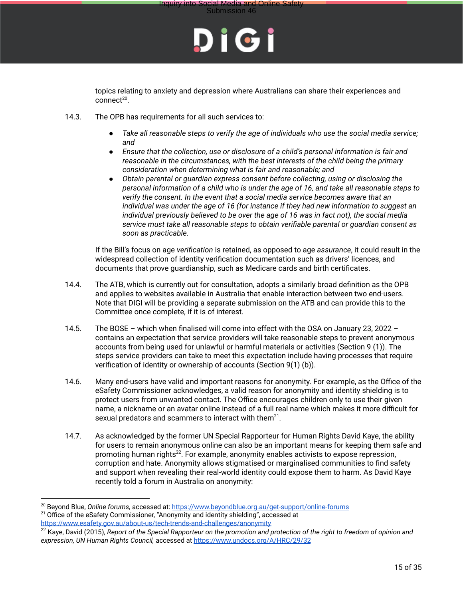



topics relating to anxiety and depression where Australians can share their experiences and connect<sup>20</sup>.

- 14.3. The OPB has requirements for all such services to:
	- *● Take all reasonable steps to verify the age of individuals who use the social media service; and*
	- *● Ensure that the collection, use or disclosure of a child's personal information is fair and reasonable in the circumstances, with the best interests of the child being the primary consideration when determining what is fair and reasonable; and*
	- *● Obtain parental or guardian express consent before collecting, using or disclosing the personal information of a child who is under the age of 16, and take all reasonable steps to verify the consent. In the event that a social media service becomes aware that an individual was under the age of 16 (for instance if they had new information to suggest an individual previously believed to be over the age of 16 was in fact not), the social media service must take all reasonable steps to obtain verifiable parental or guardian consent as soon as practicable.*

If the Bill's focus on age *verification* is retained, as opposed to age *assurance*, it could result in the widespread collection of identity verification documentation such as drivers' licences, and documents that prove guardianship, such as Medicare cards and birth certificates.

- 14.4. The ATB, which is currently out for consultation, adopts a similarly broad definition as the OPB and applies to websites available in Australia that enable interaction between two end-users. Note that DIGI will be providing a separate submission on the ATB and can provide this to the Committee once complete, if it is of interest.
- 14.5. The BOSE which when finalised will come into effect with the OSA on January 23, 2022 contains an expectation that service providers will take reasonable steps to prevent anonymous accounts from being used for unlawful or harmful materials or activities (Section 9 (1)). The steps service providers can take to meet this expectation include having processes that require verification of identity or ownership of accounts (Section 9(1) (b)).
- 14.6. Many end-users have valid and important reasons for anonymity. For example, as the Office of the eSafety Commissioner acknowledges, a valid reason for anonymity and identity shielding is to protect users from unwanted contact. The Office encourages children only to use their given name, a nickname or an avatar online instead of a full real name which makes it more difficult for sexual predators and scammers to interact with them $^{21}$ .
- 14.7. As acknowledged by the former UN Special Rapporteur for Human Rights David Kaye, the ability for users to remain anonymous online can also be an important means for keeping them safe and promoting human rights<sup>22</sup>. For example, anonymity enables activists to expose repression, corruption and hate. Anonymity allows stigmatised or marginalised communities to find safety and support when revealing their real-world identity could expose them to harm. As David Kaye recently told a forum in Australia on anonymity:

<sup>20</sup> Beyond Blue, *Online forums,* accessed at: https://www.beyondblue.org.au/get-support/online-forums

<sup>&</sup>lt;sup>21</sup> Office of the eSafety Commissioner, "Anonymity and identity shielding", accessed at https://www.esafety.gov.au/about-us/tech-trends-and-challenges/anonymity

<sup>22</sup> Kaye, David (2015), *Report of the Special Rapporteur on the promotion and protection of the right to freedom of opinion and expression, UN Human Rights Council,* accessed at https://www.undocs.org/A/HRC/29/32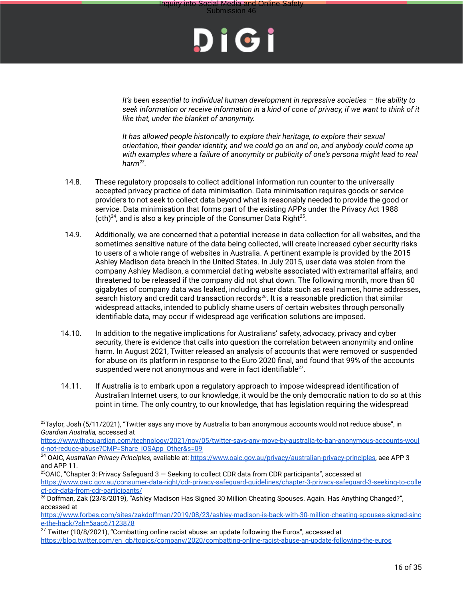



*It's been essential to individual human development in repressive societies – the ability to seek information or receive information in a kind of cone of privacy, if we want to think of it like that, under the blanket of anonymity.*

*It has allowed people historically to explore their heritage, to explore their sexual orientation, their gender identity, and we could go on and on, and anybody could come up with examples where a failure of anonymity or publicity of one's persona might lead to real harm<sup>23</sup> .*

- 14.8. These regulatory proposals to collect additional information run counter to the universally accepted privacy practice of data minimisation. Data minimisation requires goods or service providers to not seek to collect data beyond what is reasonably needed to provide the good or service. Data minimisation that forms part of the existing APPs under the Privacy Act 1988  $(\text{cth})^{24}$ , and is also a key principle of the Consumer Data Right<sup>25</sup>.
- 14.9. Additionally, we are concerned that a potential increase in data collection for all websites, and the sometimes sensitive nature of the data being collected, will create increased cyber security risks to users of a whole range of websites in Australia. A pertinent example is provided by the 2015 Ashley Madison data breach in the United States. In July 2015, user data was stolen from the company Ashley Madison, a commercial dating website associated with extramarital affairs, and threatened to be released if the company did not shut down. The following month, more than 60 gigabytes of company data was leaked, including user data such as real names, home addresses, search history and credit card transaction records<sup>26</sup>. It is a reasonable prediction that similar widespread attacks, intended to publicly shame users of certain websites through personally identifiable data, may occur if widespread age verification solutions are imposed.
- 14.10. In addition to the negative implications for Australians' safety, advocacy, privacy and cyber security, there is evidence that calls into question the correlation between anonymity and online harm. In August 2021, Twitter released an analysis of accounts that were removed or suspended for abuse on its platform in response to the Euro 2020 final, and found that 99% of the accounts suspended were not anonymous and were in fact identifiable $^{27}$ .
- 14.11. If Australia is to embark upon a regulatory approach to impose widespread identification of Australian Internet users, to our knowledge, it would be the only democratic nation to do so at this point in time. The only country, to our knowledge, that has legislation requiring the widespread

 $23$ Taylor, Josh (5/11/2021), "Twitter says any move by Australia to ban anonymous accounts would not reduce abuse", in *Guardian Australia,* accessed at

https://www.theguardian.com/technology/2021/nov/05/twitter-says-any-move-by-australia-to-ban-anonymous-accounts-woul d-not-reduce-abuse?CMP=Share iOSApp Other&s=09

<sup>24</sup> OAIC, *Australian Privacy Principles*, available at: https://www.oaic.gov.au/privacy/australian-privacy-principles, aee APP 3 and APP 11.

 $25$ OAIC, "Chapter 3: Privacy Safeguard 3 – Seeking to collect CDR data from CDR participants", accessed at https://www.oaic.gov.au/consumer-data-right/cdr-privacy-safeguard-guidelines/chapter-3-privacy-safeguard-3-seeking-to-colle ct-cdr-data-from-cdr-participants/

<sup>&</sup>lt;sup>26</sup> Doffman, Zak (23/8/2019), "Ashley Madison Has Signed 30 Million Cheating Spouses. Again. Has Anything Changed?", accessed at

https://www.forbes.com/sites/zakdoffman/2019/08/23/ashley-madison-is-back-with-30-million-cheating-spouses-signed-sinc e-the-hack/?sh=5aac67123878

 $27$  Twitter (10/8/2021), "Combatting online racist abuse: an update following the Euros", accessed at https://blog.twitter.com/en gb/topics/company/2020/combatting-online-racist-abuse-an-update-following-the-euros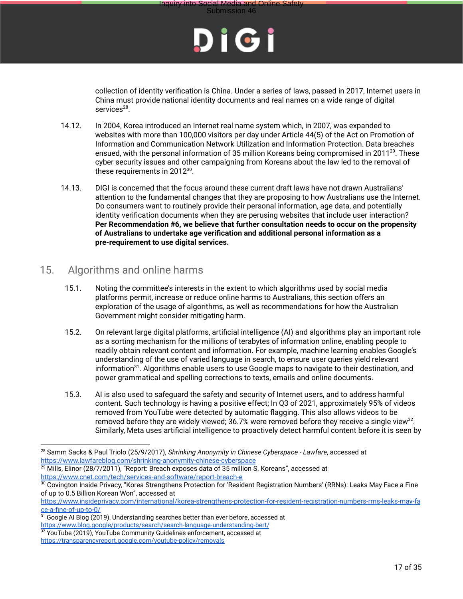

collection of identity verification is China. Under a series of laws, passed in 2017, Internet users in China must provide national identity documents and real names on a wide range of digital services<sup>28</sup>.

- 14.12. In 2004, Korea introduced an Internet real name system which, in 2007, was expanded to websites with more than 100,000 visitors per day under Article 44(5) of the Act on Promotion of Information and Communication Network Utilization and Information Protection. Data breaches ensued, with the personal information of 35 million Koreans being compromised in 2011<sup>29</sup>. These cyber security issues and other campaigning from Koreans about the law led to the removal of these requirements in 2012 $^{30}$ .
- 14.13. DIGI is concerned that the focus around these current draft laws have not drawn Australians' attention to the fundamental changes that they are proposing to how Australians use the Internet. Do consumers want to routinely provide their personal information, age data, and potentially identity verification documents when they are perusing websites that include user interaction? **Per Recommendation #6, we believe that further consultation needs to occur on the propensity of Australians to undertake age verification and additional personal information as a pre-requirement to use digital services.**

#### 15. Algorithms and online harms

- 15.1. Noting the committee's interests in the extent to which algorithms used by social media platforms permit, increase or reduce online harms to Australians, this section offers an exploration of the usage of algorithms, as well as recommendations for how the Australian Government might consider mitigating harm.
- 15.2. On relevant large digital platforms, artificial intelligence (AI) and algorithms play an important role as a sorting mechanism for the millions of terabytes of information online, enabling people to readily obtain relevant content and information. For example, machine learning enables Google's understanding of the use of varied language in search, to ensure user queries yield relevant information $31$ . Algorithms enable users to use Google maps to navigate to their destination, and power grammatical and spelling corrections to texts, emails and online documents.
- 15.3. AI is also used to safeguard the safety and security of Internet users, and to address harmful content. Such technology is having a positive effect; In Q3 of 2021, approximately 95% of videos removed from YouTube were detected by automatic flagging. This also allows videos to be removed before they are widely viewed; 36.7% were removed before they receive a single view<sup>32</sup>. Similarly, Meta uses artificial intelligence to proactively detect harmful content before it is seen by

<sup>28</sup> Samm Sacks & Paul Triolo (25/9/2017), *Shrinking Anonymity in Chinese Cyberspace - Lawfare*, accessed at https://www.lawfareblog.com/shrinking-anonymity-chinese-cyberspace

 $29$  Mills, Elinor (28/7/2011), "Report: Breach exposes data of 35 million S. Koreans", accessed at https://www.cnet.com/tech/services-and-software/report-breach-e

 $30$  Covington Inside Privacy, "Korea Strengthens Protection for 'Resident Registration Numbers' (RRNs): Leaks May Face a Fine of up to 0.5 Billion Korean Won", accessed at

https://www.insideprivacy.com/international/korea-strengthens-protection-for-resident-registration-numbers-rrns-leaks-may-fa ce-a-fine-of-up-to-0/

<sup>&</sup>lt;sup>31</sup> Google AI Blog (2019), Understanding searches better than ever before, accessed at https://www.blog.google/products/search/search-language-understanding-bert/

 $32$  YouTube (2019), YouTube Community Guidelines enforcement, accessed at https://transparencyreport.google.com/youtube-policy/removals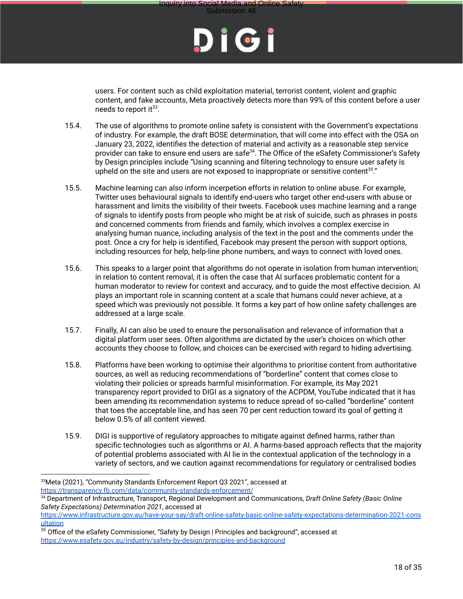

users. For content such as child exploitation material, terrorist content, violent and graphic content, and fake accounts, Meta proactively detects more than 99% of this content before a user needs to report it $^{33}$ .

- 15.4. The use of algorithms to promote online safety is consistent with the Government's expectations of industry. For example, the draft BOSE determination, that will come into effect with the OSA on January 23, 2022, identifies the detection of material and activity as a reasonable step service provider can take to ensure end users are safe<sup>34</sup>. The Office of the eSafety Commissioner's Safety by Design principles include "Using scanning and filtering technology to ensure user safety is upheld on the site and users are not exposed to inappropriate or sensitive content<sup>35</sup>."
- 15.5. Machine learning can also inform incerpetion efforts in relation to online abuse. For example, Twitter uses behavioural signals to identify end-users who target other end-users with abuse or harassment and limits the visibility of their tweets. Facebook uses machine learning and a range of signals to identify posts from people who might be at risk of suicide, such as phrases in posts and concerned comments from friends and family, which involves a complex exercise in analysing human nuance, including analysis of the text in the post and the comments under the post. Once a cry for help is identified, Facebook may present the person with support options, including resources for help, help-line phone numbers, and ways to connect with loved ones.
- 15.6. This speaks to a larger point that algorithms do not operate in isolation from human intervention; in relation to content removal, it is often the case that AI surfaces problematic content for a human moderator to review for context and accuracy, and to guide the most effective decision. AI plays an important role in scanning content at a scale that humans could never achieve, at a speed which was previously not possible. It forms a key part of how online safety challenges are addressed at a large scale.
- 15.7. Finally, AI can also be used to ensure the personalisation and relevance of information that a digital platform user sees. Often algorithms are dictated by the user's choices on which other accounts they choose to follow, and choices can be exercised with regard to hiding advertising.
- 15.8. Platforms have been working to optimise their algorithms to prioritise content from authoritative sources, as well as reducing recommendations of "borderline" content that comes close to violating their policies or spreads harmful misinformation. For example, its May 2021 transparency report provided to DIGI as a signatory of the ACPDM, YouTube indicated that it has been amending its recommendation systems to reduce spread of so-called "borderline" content that toes the acceptable line, and has seen 70 per cent reduction toward its goal of getting it below 0.5% of all content viewed.
- 15.9. DIGI is supportive of regulatory approaches to mitigate against defined harms, rather than specific technologies such as algorithms or AI. A harms-based approach reflects that the majority of potential problems associated with AI lie in the contextual application of the technology in a variety of sectors, and we caution against recommendations for regulatory or centralised bodies

<sup>33</sup>Meta (2021), "Community Standards Enforcement Report Q3 2021", accessed at https://transparency.fb.com/data/community-standards-enforcement/

<sup>34</sup> Department of Infrastructure, Transport, Regional Development and Communications, *Draft Online Safety (Basic Online Safety Expectations) Determination 2021*, accessed at

https://www.infrastructure.gov.au/have-your-say/draft-online-safety-basic-online-safety-expectations-determination-2021-cons ultation

<sup>&</sup>lt;sup>35</sup> Office of the eSafety Commissioner, "Safety by Design | Principles and background", accessed at https://www.esafety.gov.au/industry/safety-by-design/principles-and-background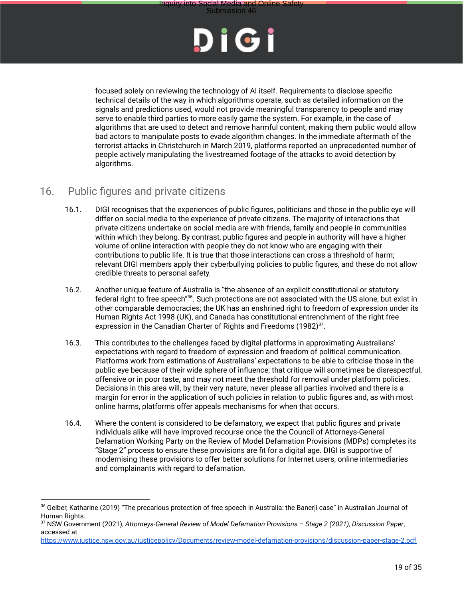



focused solely on reviewing the technology of AI itself. Requirements to disclose specific technical details of the way in which algorithms operate, such as detailed information on the signals and predictions used, would not provide meaningful transparency to people and may serve to enable third parties to more easily game the system. For example, in the case of algorithms that are used to detect and remove harmful content, making them public would allow bad actors to manipulate posts to evade algorithm changes. In the immediate aftermath of the terrorist attacks in Christchurch in March 2019, platforms reported an unprecedented number of people actively manipulating the livestreamed footage of the attacks to avoid detection by algorithms.

#### 16. Public figures and private citizens

- 16.1. DIGI recognises that the experiences of public figures, politicians and those in the public eye will differ on social media to the experience of private citizens. The majority of interactions that private citizens undertake on social media are with friends, family and people in communities within which they belong. By contrast, public figures and people in authority will have a higher volume of online interaction with people they do not know who are engaging with their contributions to public life. It is true that those interactions can cross a threshold of harm; relevant DIGI members apply their cyberbullying policies to public figures, and these do not allow credible threats to personal safety.
- 16.2. Another unique feature of Australia is "the absence of an explicit constitutional or statutory federal right to free speech"<sup>36</sup>. Such protections are not associated with the US alone, but exist in other comparable democracies; the UK has an enshrined right to freedom of expression under its Human Rights Act 1998 (UK), and Canada has constitutional entrenchment of the right free expression in the Canadian Charter of Rights and Freedoms  $(1982)^{37}$ .
- 16.3. This contributes to the challenges faced by digital platforms in approximating Australians' expectations with regard to freedom of expression and freedom of political communication. Platforms work from estimations of Australians' expectations to be able to criticise those in the public eye because of their wide sphere of influence; that critique will sometimes be disrespectful, offensive or in poor taste, and may not meet the threshold for removal under platform policies. Decisions in this area will, by their very nature, never please all parties involved and there is a margin for error in the application of such policies in relation to public figures and, as with most online harms, platforms offer appeals mechanisms for when that occurs.
- 16.4. Where the content is considered to be defamatory, we expect that public figures and private individuals alike will have improved recourse once the the Council of Attorneys-General Defamation Working Party on the Review of Model Defamation Provisions (MDPs) completes its "Stage 2" process to ensure these provisions are fit for a digital age. DIGI is supportive of modernising these provisions to offer better solutions for Internet users, online intermediaries and complainants with regard to defamation.

<sup>&</sup>lt;sup>36</sup> Gelber, Katharine (2019) "The precarious protection of free speech in Australia: the Banerii case" in Australian Journal of Human Rights.

<sup>37</sup> NSW Government (2021), *Attorneys-General Review of Model Defamation Provisions – Stage 2 (2021), Discussion Paper*, accessed at

https://www.justice.nsw.gov.au/justicepolicy/Documents/review-model-defamation-provisions/discussion-paper-stage-2.pdf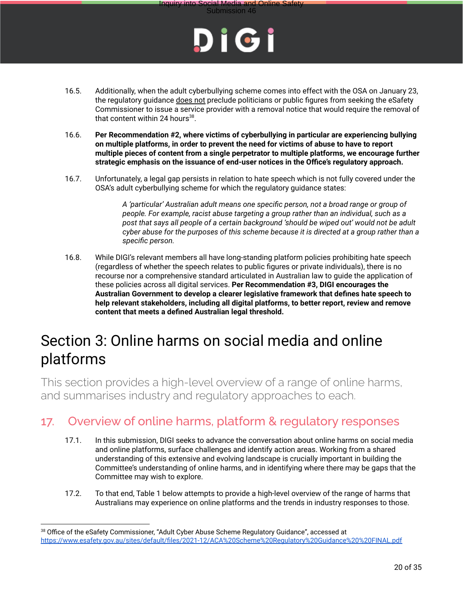

Submission 46

- 16.5. Additionally, when the adult cyberbullying scheme comes into effect with the OSA on January 23, the regulatory guidance does not preclude politicians or public figures from seeking the eSafety Commissioner to issue a service provider with a removal notice that would require the removal of that content within 24 hours $^{38}$ .
- 16.6. **Per Recommendation #2, where victims of cyberbullying in particular are experiencing bullying on multiple platforms, in order to prevent the need for victims of abuse to have to report multiple pieces of content from a single perpetrator to multiple platforms, we encourage further strategic emphasis on the issuance of end-user notices in the Office's regulatory approach.**
- 16.7. Unfortunately, a legal gap persists in relation to hate speech which is not fully covered under the OSA's adult cyberbullying scheme for which the regulatory guidance states:

*A 'particular' Australian adult means one specific person, not a broad range or group of people. For example, racist abuse targeting a group rather than an individual, such as a post that says all people of a certain background 'should be wiped out' would not be adult cyber abuse for the purposes of this scheme because it is directed at a group rather than a specific person.*

16.8. While DIGI's relevant members all have long-standing platform policies prohibiting hate speech (regardless of whether the speech relates to public figures or private individuals), there is no recourse nor a comprehensive standard articulated in Australian law to guide the application of these policies across all digital services. **Per Recommendation #3, DIGI encourages the Australian Government to develop a clearer legislative framework that defines hate speech to help relevant stakeholders, including all digital platforms, to better report, review and remove content that meets a defined Australian legal threshold.**

## Section 3: Online harms on social media and online platforms

This section provides a high-level overview of a range of online harms, and summarises industry and regulatory approaches to each.

### 17. Overview of online harms, platform & regulatory responses

- 17.1. In this submission, DIGI seeks to advance the conversation about online harms on social media and online platforms, surface challenges and identify action areas. Working from a shared understanding of this extensive and evolving landscape is crucially important in building the Committee's understanding of online harms, and in identifying where there may be gaps that the Committee may wish to explore.
- 17.2. To that end, Table 1 below attempts to provide a high-level overview of the range of harms that Australians may experience on online platforms and the trends in industry responses to those.

<sup>&</sup>lt;sup>38</sup> Office of the eSafety Commissioner, "Adult Cyber Abuse Scheme Regulatory Guidance", accessed at https://www.esafety.gov.au/sites/default/files/2021-12/ACA%20Scheme%20Regulatory%20Guidance%20%20FINAL.pdf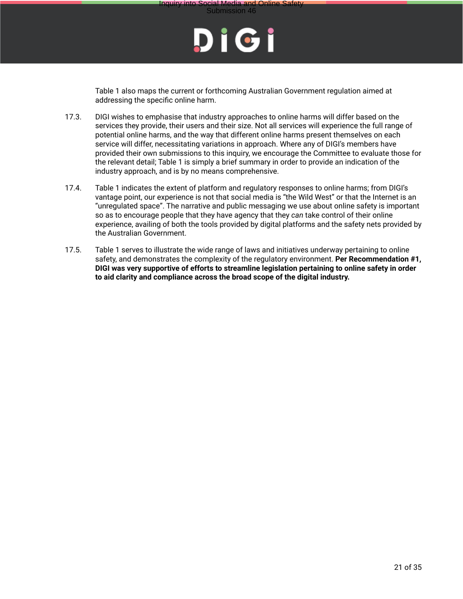

Table 1 also maps the current or forthcoming Australian Government regulation aimed at addressing the specific online harm.

- 17.3. DIGI wishes to emphasise that industry approaches to online harms will differ based on the services they provide, their users and their size. Not all services will experience the full range of potential online harms, and the way that different online harms present themselves on each service will differ, necessitating variations in approach. Where any of DIGI's members have provided their own submissions to this inquiry, we encourage the Committee to evaluate those for the relevant detail; Table 1 is simply a brief summary in order to provide an indication of the industry approach, and is by no means comprehensive.
- 17.4. Table 1 indicates the extent of platform and regulatory responses to online harms; from DIGI's vantage point, our experience is not that social media is "the Wild West" or that the Internet is an "unregulated space". The narrative and public messaging we use about online safety is important so as to encourage people that they have agency that they *can* take control of their online experience, availing of both the tools provided by digital platforms and the safety nets provided by the Australian Government.
- 17.5. Table 1 serves to illustrate the wide range of laws and initiatives underway pertaining to online safety, and demonstrates the complexity of the regulatory environment. **Per Recommendation #1, DIGI was very supportive of efforts to streamline legislation pertaining to online safety in order to aid clarity and compliance across the broad scope of the digital industry.**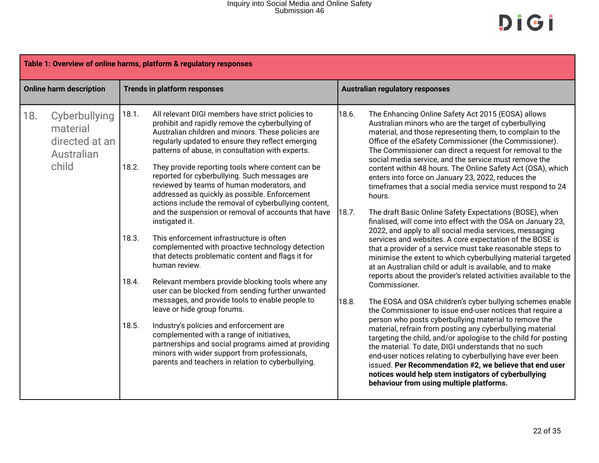## Inquiry into Social Media and Online Safety Submission 46

| Table 1: Overview of online harms, platform & regulatory responses |                                                                    |                                           |                                                                                                                                                                                                                                                                                                                                                                                                                                                                                                                                                                                                                                                                                                                                                                                                                                                                                                                                                                                                                                                                                                                                                                                                                                     |                         |                                                                                                                                                                                                                                                                                                                                                                                                                                                                                                                                                                                                                                                                                                                                                                                                                                                                                                                                                                                                                                                                                                                                                                                                                                                                                                                                                                                                                                                                                                                                                                                                                                                                                             |  |
|--------------------------------------------------------------------|--------------------------------------------------------------------|-------------------------------------------|-------------------------------------------------------------------------------------------------------------------------------------------------------------------------------------------------------------------------------------------------------------------------------------------------------------------------------------------------------------------------------------------------------------------------------------------------------------------------------------------------------------------------------------------------------------------------------------------------------------------------------------------------------------------------------------------------------------------------------------------------------------------------------------------------------------------------------------------------------------------------------------------------------------------------------------------------------------------------------------------------------------------------------------------------------------------------------------------------------------------------------------------------------------------------------------------------------------------------------------|-------------------------|---------------------------------------------------------------------------------------------------------------------------------------------------------------------------------------------------------------------------------------------------------------------------------------------------------------------------------------------------------------------------------------------------------------------------------------------------------------------------------------------------------------------------------------------------------------------------------------------------------------------------------------------------------------------------------------------------------------------------------------------------------------------------------------------------------------------------------------------------------------------------------------------------------------------------------------------------------------------------------------------------------------------------------------------------------------------------------------------------------------------------------------------------------------------------------------------------------------------------------------------------------------------------------------------------------------------------------------------------------------------------------------------------------------------------------------------------------------------------------------------------------------------------------------------------------------------------------------------------------------------------------------------------------------------------------------------|--|
|                                                                    | <b>Online harm description</b>                                     |                                           | <b>Trends in platform responses</b>                                                                                                                                                                                                                                                                                                                                                                                                                                                                                                                                                                                                                                                                                                                                                                                                                                                                                                                                                                                                                                                                                                                                                                                                 |                         | <b>Australian regulatory responses</b>                                                                                                                                                                                                                                                                                                                                                                                                                                                                                                                                                                                                                                                                                                                                                                                                                                                                                                                                                                                                                                                                                                                                                                                                                                                                                                                                                                                                                                                                                                                                                                                                                                                      |  |
| 18.                                                                | Cyberbullying<br>material<br>directed at an<br>Australian<br>child | 18.1.<br>18.2.<br>18.3.<br>18.4.<br>18.5. | All relevant DIGI members have strict policies to<br>prohibit and rapidly remove the cyberbullying of<br>Australian children and minors. These policies are<br>regularly updated to ensure they reflect emerging<br>patterns of abuse, in consultation with experts.<br>They provide reporting tools where content can be<br>reported for cyberbullying. Such messages are<br>reviewed by teams of human moderators, and<br>addressed as quickly as possible. Enforcement<br>actions include the removal of cyberbullying content,<br>and the suspension or removal of accounts that have<br>instigated it.<br>This enforcement infrastructure is often<br>complemented with proactive technology detection<br>that detects problematic content and flags it for<br>human review.<br>Relevant members provide blocking tools where any<br>user can be blocked from sending further unwanted<br>messages, and provide tools to enable people to<br>leave or hide group forums.<br>Industry's policies and enforcement are<br>complemented with a range of initiatives,<br>partnerships and social programs aimed at providing<br>minors with wider support from professionals,<br>parents and teachers in relation to cyberbullying. | 18.6.<br>18.7.<br>18.8. | The Enhancing Online Safety Act 2015 (EOSA) allows<br>Australian minors who are the target of cyberbullying<br>material, and those representing them, to complain to the<br>Office of the eSafety Commissioner (the Commissioner).<br>The Commissioner can direct a request for removal to the<br>social media service, and the service must remove the<br>content within 48 hours. The Online Safety Act (OSA), which<br>enters into force on January 23, 2022, reduces the<br>timeframes that a social media service must respond to 24<br>hours.<br>The draft Basic Online Safety Expectations (BOSE), when<br>finalised, will come into effect with the OSA on January 23,<br>2022, and apply to all social media services, messaging<br>services and websites. A core expectation of the BOSE is<br>that a provider of a service must take reasonable steps to<br>minimise the extent to which cyberbullying material targeted<br>at an Australian child or adult is available, and to make<br>reports about the provider's related activities available to the<br>Commissioner.<br>The EOSA and OSA children's cyber bullying schemes enable<br>the Commissioner to issue end-user notices that require a<br>person who posts cyberbullying material to remove the<br>material, refrain from posting any cyberbullying material<br>targeting the child, and/or apologise to the child for posting<br>the material. To date, DIGI understands that no such<br>end-user notices relating to cyberbullying have ever been<br>issued. Per Recommendation #2, we believe that end user<br>notices would help stem instigators of cyberbullying<br>behaviour from using multiple platforms. |  |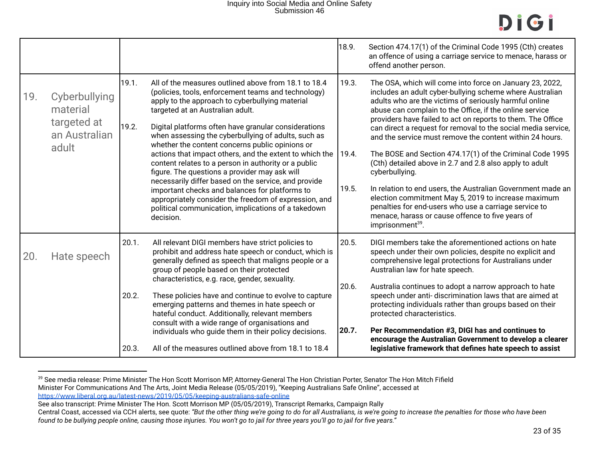## Inquiry into Social Media and Online Safety Submission 46



|     |                                                                    |                         |                                                                                                                                                                                                                                                                                                                                                                                                                                                                                                                                                                                                                                                                                                                                                                                 | 18.9.                   | Section 474.17(1) of the Criminal Code 1995 (Cth) creates<br>an offence of using a carriage service to menace, harass or<br>offend another person.                                                                                                                                                                                                                                                                                                                                                                                                                                                                                                                                                                                                                                                                                                |
|-----|--------------------------------------------------------------------|-------------------------|---------------------------------------------------------------------------------------------------------------------------------------------------------------------------------------------------------------------------------------------------------------------------------------------------------------------------------------------------------------------------------------------------------------------------------------------------------------------------------------------------------------------------------------------------------------------------------------------------------------------------------------------------------------------------------------------------------------------------------------------------------------------------------|-------------------------|---------------------------------------------------------------------------------------------------------------------------------------------------------------------------------------------------------------------------------------------------------------------------------------------------------------------------------------------------------------------------------------------------------------------------------------------------------------------------------------------------------------------------------------------------------------------------------------------------------------------------------------------------------------------------------------------------------------------------------------------------------------------------------------------------------------------------------------------------|
| 19. | Cyberbullying<br>material<br>targeted at<br>an Australian<br>adult | 19.1.<br>19.2.          | All of the measures outlined above from 18.1 to 18.4<br>(policies, tools, enforcement teams and technology)<br>apply to the approach to cyberbullying material<br>targeted at an Australian adult.<br>Digital platforms often have granular considerations<br>when assessing the cyberbullying of adults, such as<br>whether the content concerns public opinions or<br>actions that impact others, and the extent to which the<br>content relates to a person in authority or a public<br>figure. The questions a provider may ask will<br>necessarily differ based on the service, and provide<br>important checks and balances for platforms to<br>appropriately consider the freedom of expression, and<br>political communication, implications of a takedown<br>decision. | 19.3.<br>19.4.<br>19.5. | The OSA, which will come into force on January 23, 2022,<br>includes an adult cyber-bullying scheme where Australian<br>adults who are the victims of seriously harmful online<br>abuse can complain to the Office, if the online service<br>providers have failed to act on reports to them. The Office<br>can direct a request for removal to the social media service,<br>and the service must remove the content within 24 hours.<br>The BOSE and Section 474.17(1) of the Criminal Code 1995<br>(Cth) detailed above in 2.7 and 2.8 also apply to adult<br>cyberbullying.<br>In relation to end users, the Australian Government made an<br>election commitment May 5, 2019 to increase maximum<br>penalties for end-users who use a carriage service to<br>menace, harass or cause offence to five years of<br>imprisonment <sup>39</sup> . |
| 20. | Hate speech                                                        | 20.1.<br>20.2.<br>20.3. | All relevant DIGI members have strict policies to<br>prohibit and address hate speech or conduct, which is<br>generally defined as speech that maligns people or a<br>group of people based on their protected<br>characteristics, e.g. race, gender, sexuality.<br>These policies have and continue to evolve to capture<br>emerging patterns and themes in hate speech or<br>hateful conduct. Additionally, relevant members<br>consult with a wide range of organisations and<br>individuals who guide them in their policy decisions.<br>All of the measures outlined above from 18.1 to 18.4                                                                                                                                                                               | 20.5.<br>20.6.<br>20.7. | DIGI members take the aforementioned actions on hate<br>speech under their own policies, despite no explicit and<br>comprehensive legal protections for Australians under<br>Australian law for hate speech.<br>Australia continues to adopt a narrow approach to hate<br>speech under anti- discrimination laws that are aimed at<br>protecting individuals rather than groups based on their<br>protected characteristics.<br>Per Recommendation #3, DIGI has and continues to<br>encourage the Australian Government to develop a clearer<br>legislative framework that defines hate speech to assist                                                                                                                                                                                                                                          |

<sup>39</sup> See media release: Prime Minister The Hon Scott Morrison MP, Attorney-General The Hon Christian Porter, Senator The Hon Mitch Fifield Minister For Communications And The Arts, Joint Media Release (05/05/2019), "Keeping Australians Safe Online", accessed at

https://www.liberal.org.au/latest-news/2019/05/05/keeping-australians-safe-online

See also transcript: Prime Minister The Hon. Scott Morrison MP (05/05/2019), Transcript Remarks, Campaign Rally

Central Coast, accessed via CCH alerts, see quote: *"But the other thing we're going to do for all Australians, is we're going to increase the penalties for those who have been found to be bullying people online, causing those injuries. You won't go to jail for three years you'll go to jail for five years."*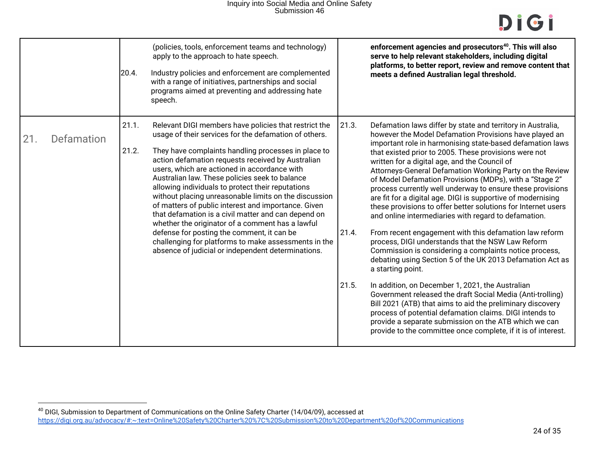|     |            | 20.4.          | (policies, tools, enforcement teams and technology)<br>apply to the approach to hate speech.<br>Industry policies and enforcement are complemented<br>with a range of initiatives, partnerships and social<br>programs aimed at preventing and addressing hate<br>speech.                                                                                                                                                                                                                                                                                                                                                                                                                                                                                                |                         | enforcement agencies and prosecutors <sup>40</sup> . This will also<br>serve to help relevant stakeholders, including digital<br>platforms, to better report, review and remove content that<br>meets a defined Australian legal threshold.                                                                                                                                                                                                                                                                                                                                                                                                                                                                                                                                                                                                                                                                                                                                                                                                                                                                                                                                                                                                                                                                |
|-----|------------|----------------|--------------------------------------------------------------------------------------------------------------------------------------------------------------------------------------------------------------------------------------------------------------------------------------------------------------------------------------------------------------------------------------------------------------------------------------------------------------------------------------------------------------------------------------------------------------------------------------------------------------------------------------------------------------------------------------------------------------------------------------------------------------------------|-------------------------|------------------------------------------------------------------------------------------------------------------------------------------------------------------------------------------------------------------------------------------------------------------------------------------------------------------------------------------------------------------------------------------------------------------------------------------------------------------------------------------------------------------------------------------------------------------------------------------------------------------------------------------------------------------------------------------------------------------------------------------------------------------------------------------------------------------------------------------------------------------------------------------------------------------------------------------------------------------------------------------------------------------------------------------------------------------------------------------------------------------------------------------------------------------------------------------------------------------------------------------------------------------------------------------------------------|
| 21. | Defamation | 21.1.<br>21.2. | Relevant DIGI members have policies that restrict the<br>usage of their services for the defamation of others.<br>They have complaints handling processes in place to<br>action defamation requests received by Australian<br>users, which are actioned in accordance with<br>Australian law. These policies seek to balance<br>allowing individuals to protect their reputations<br>without placing unreasonable limits on the discussion<br>of matters of public interest and importance. Given<br>that defamation is a civil matter and can depend on<br>whether the originator of a comment has a lawful<br>defense for posting the comment, it can be<br>challenging for platforms to make assessments in the<br>absence of judicial or independent determinations. | 21.3.<br>21.4.<br>21.5. | Defamation laws differ by state and territory in Australia,<br>however the Model Defamation Provisions have played an<br>important role in harmonising state-based defamation laws<br>that existed prior to 2005. These provisions were not<br>written for a digital age, and the Council of<br>Attorneys-General Defamation Working Party on the Review<br>of Model Defamation Provisions (MDPs), with a "Stage 2"<br>process currently well underway to ensure these provisions<br>are fit for a digital age. DIGI is supportive of modernising<br>these provisions to offer better solutions for Internet users<br>and online intermediaries with regard to defamation.<br>From recent engagement with this defamation law reform<br>process, DIGI understands that the NSW Law Reform<br>Commission is considering a complaints notice process,<br>debating using Section 5 of the UK 2013 Defamation Act as<br>a starting point.<br>In addition, on December 1, 2021, the Australian<br>Government released the draft Social Media (Anti-trolling)<br>Bill 2021 (ATB) that aims to aid the preliminary discovery<br>process of potential defamation claims. DIGI intends to<br>provide a separate submission on the ATB which we can<br>provide to the committee once complete, if it is of interest. |

 $^{40}$  DIGI, Submission to Department of Communications on the Online Safety Charter (14/04/09), accessed at https://digi.org.au/advocacy/#:~:text=Online%20Safety%20Charter%20%7C%20Submission%20to%20Department%20of%20Communications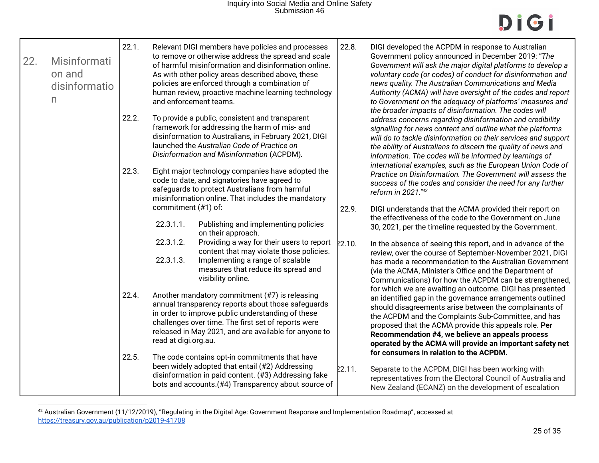| 22. | Misinformati<br>on and<br>disinformatio<br>$\mathsf{n}$ | 22.1.<br>22.2. | and enforcement teams.           | Relevant DIGI members have policies and processes<br>to remove or otherwise address the spread and scale<br>of harmful misinformation and disinformation online.<br>As with other policy areas described above, these<br>policies are enforced through a combination of<br>human review, proactive machine learning technology<br>To provide a public, consistent and transparent | 22.8.  | DIGI developed the ACPDM in response to Australian<br>Government policy announced in December 2019: "The<br>Government will ask the major digital platforms to develop a<br>voluntary code (or codes) of conduct for disinformation and<br>news quality. The Australian Communications and Media<br>Authority (ACMA) will have oversight of the codes and report<br>to Government on the adequacy of platforms' measures and<br>the broader impacts of disinformation. The codes will<br>address concerns regarding disinformation and credibility |
|-----|---------------------------------------------------------|----------------|----------------------------------|-----------------------------------------------------------------------------------------------------------------------------------------------------------------------------------------------------------------------------------------------------------------------------------------------------------------------------------------------------------------------------------|--------|----------------------------------------------------------------------------------------------------------------------------------------------------------------------------------------------------------------------------------------------------------------------------------------------------------------------------------------------------------------------------------------------------------------------------------------------------------------------------------------------------------------------------------------------------|
|     |                                                         |                |                                  | framework for addressing the harm of mis- and<br>disinformation to Australians, in February 2021, DIGI<br>launched the Australian Code of Practice on<br>Disinformation and Misinformation (ACPDM).                                                                                                                                                                               |        | signalling for news content and outline what the platforms<br>will do to tackle disinformation on their services and support<br>the ability of Australians to discern the quality of news and<br>information. The codes will be informed by learnings of                                                                                                                                                                                                                                                                                           |
|     |                                                         | 22.3.          |                                  | Eight major technology companies have adopted the<br>code to date, and signatories have agreed to<br>safeguards to protect Australians from harmful<br>misinformation online. That includes the mandatory                                                                                                                                                                         |        | international examples, such as the European Union Code of<br>Practice on Disinformation. The Government will assess the<br>success of the codes and consider the need for any further<br>reform in 2021."42                                                                                                                                                                                                                                                                                                                                       |
|     |                                                         |                | commitment (#1) of:<br>22.3.1.1. | Publishing and implementing policies<br>on their approach.                                                                                                                                                                                                                                                                                                                        | 22.9.  | DIGI understands that the ACMA provided their report on<br>the effectiveness of the code to the Government on June<br>30, 2021, per the timeline requested by the Government.<br>In the absence of seeing this report, and in advance of the<br>review, over the course of September-November 2021, DIGI<br>has made a recommendation to the Australian Government<br>(via the ACMA, Minister's Office and the Department of<br>Communications) for how the ACPDM can be strengthened,                                                             |
|     |                                                         |                | 22.3.1.2.<br>22.3.1.3.           | Providing a way for their users to report<br>content that may violate those policies.<br>Implementing a range of scalable<br>measures that reduce its spread and<br>visibility online.                                                                                                                                                                                            | 22.10. |                                                                                                                                                                                                                                                                                                                                                                                                                                                                                                                                                    |
|     |                                                         | 22.4.          | read at digi.org.au.             | Another mandatory commitment (#7) is releasing<br>annual transparency reports about those safeguards<br>in order to improve public understanding of these<br>challenges over time. The first set of reports were<br>released in May 2021, and are available for anyone to                                                                                                         |        | for which we are awaiting an outcome. DIGI has presented<br>an identified gap in the governance arrangements outlined<br>should disagreements arise between the complainants of<br>the ACPDM and the Complaints Sub-Committee, and has<br>proposed that the ACMA provide this appeals role. Per<br>Recommendation #4, we believe an appeals process<br>operated by the ACMA will provide an important safety net<br>for consumers in relation to the ACPDM.                                                                                        |
|     |                                                         | 22.5.          |                                  | The code contains opt-in commitments that have<br>been widely adopted that entail (#2) Addressing<br>disinformation in paid content. (#3) Addressing fake<br>bots and accounts. (#4) Transparency about source of                                                                                                                                                                 | 22.11. | Separate to the ACPDM, DIGI has been working with<br>representatives from the Electoral Council of Australia and<br>New Zealand (ECANZ) on the development of escalation                                                                                                                                                                                                                                                                                                                                                                           |

 $^{42}$  Australian Government (11/12/2019), "Regulating in the Digital Age: Government Response and Implementation Roadmap", accessed at https://treasury.gov.au/publication/p2019-41708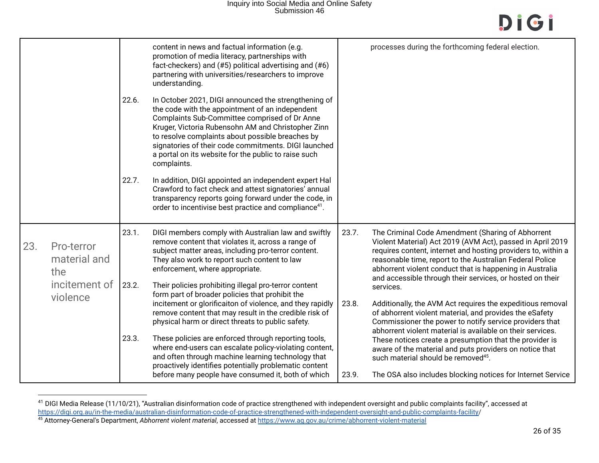## Inquiry into Social Media and Online Safety Submission 46

|     |                                                    |                | content in news and factual information (e.g.<br>promotion of media literacy, partnerships with<br>fact-checkers) and (#5) political advertising and (#6)<br>partnering with universities/researchers to improve<br>understanding.                                                                                                                                                                |       | processes during the forthcoming federal election.                                                                                                                                                                                                                                                                                                                                 |
|-----|----------------------------------------------------|----------------|---------------------------------------------------------------------------------------------------------------------------------------------------------------------------------------------------------------------------------------------------------------------------------------------------------------------------------------------------------------------------------------------------|-------|------------------------------------------------------------------------------------------------------------------------------------------------------------------------------------------------------------------------------------------------------------------------------------------------------------------------------------------------------------------------------------|
|     |                                                    | 22.6.          | In October 2021, DIGI announced the strengthening of<br>the code with the appointment of an independent<br>Complaints Sub-Committee comprised of Dr Anne<br>Kruger, Victoria Rubensohn AM and Christopher Zinn<br>to resolve complaints about possible breaches by<br>signatories of their code commitments. DIGI launched<br>a portal on its website for the public to raise such<br>complaints. |       |                                                                                                                                                                                                                                                                                                                                                                                    |
|     |                                                    | 22.7.          | In addition, DIGI appointed an independent expert Hal<br>Crawford to fact check and attest signatories' annual<br>transparency reports going forward under the code, in<br>order to incentivise best practice and compliance <sup>41</sup> .                                                                                                                                                      |       |                                                                                                                                                                                                                                                                                                                                                                                    |
| 23. | Pro-terror<br>material and<br>the<br>incitement of | 23.1.<br>23.2. | DIGI members comply with Australian law and swiftly<br>remove content that violates it, across a range of<br>subject matter areas, including pro-terror content.<br>They also work to report such content to law<br>enforcement, where appropriate.<br>Their policies prohibiting illegal pro-terror content<br>form part of broader policies that prohibit the                                   | 23.7. | The Criminal Code Amendment (Sharing of Abhorrent<br>Violent Material) Act 2019 (AVM Act), passed in April 2019<br>requires content, internet and hosting providers to, within a<br>reasonable time, report to the Australian Federal Police<br>abhorrent violent conduct that is happening in Australia<br>and accessible through their services, or hosted on their<br>services. |
|     | violence                                           |                | incitement or glorificaiton of violence, and they rapidly<br>remove content that may result in the credible risk of<br>physical harm or direct threats to public safety.                                                                                                                                                                                                                          | 23.8. | Additionally, the AVM Act requires the expeditious removal<br>of abhorrent violent material, and provides the eSafety<br>Commissioner the power to notify service providers that<br>abhorrent violent material is available on their services.                                                                                                                                     |
|     |                                                    | 23.3.          | These policies are enforced through reporting tools,<br>where end-users can escalate policy-violating content,<br>and often through machine learning technology that<br>proactively identifies potentially problematic content                                                                                                                                                                    |       | These notices create a presumption that the provider is<br>aware of the material and puts providers on notice that<br>such material should be removed <sup>45</sup> .                                                                                                                                                                                                              |
|     |                                                    |                | before many people have consumed it, both of which                                                                                                                                                                                                                                                                                                                                                | 23.9. | The OSA also includes blocking notices for Internet Service                                                                                                                                                                                                                                                                                                                        |

<sup>&</sup>lt;sup>41</sup> DIGI Media Release (11/10/21), "Australian disinformation code of practice strengthened with independent oversight and public complaints facility", accessed at https://digi.org.au/in-the-media/australian-disinformation-code-of-practice-strengthened-with-independent-oversight-and-public-complaints-facility/

<sup>45</sup> Attorney-General's Department, *Abhorrent violent material*, accessed at https://www.ag.gov.au/crime/abhorrent-violent-material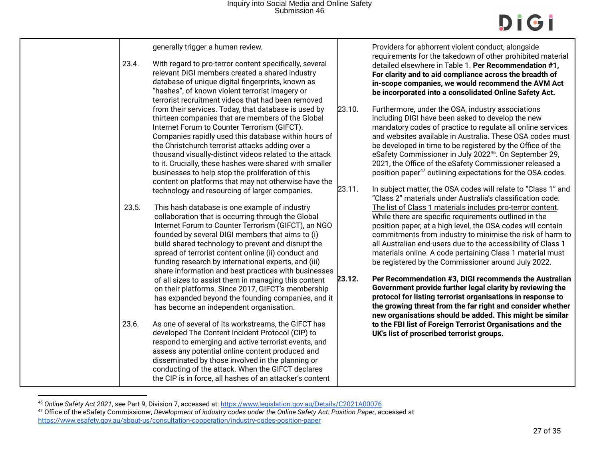| 23.4. | generally trigger a human review.<br>With regard to pro-terror content specifically, several<br>relevant DIGI members created a shared industry<br>database of unique digital fingerprints, known as<br>"hashes", of known violent terrorist imagery or<br>terrorist recruitment videos that had been removed                                                                                                                                                                                                                                              |                  | Providers for abhorrent violent conduct, alongside<br>requirements for the takedown of other prohibited material<br>detailed elsewhere in Table 1. Per Recommendation #1,<br>For clarity and to aid compliance across the breadth of<br>in-scope companies, we would recommend the AVM Act<br>be incorporated into a consolidated Online Safety Act.                                                                                                                                                                                                                         |
|-------|------------------------------------------------------------------------------------------------------------------------------------------------------------------------------------------------------------------------------------------------------------------------------------------------------------------------------------------------------------------------------------------------------------------------------------------------------------------------------------------------------------------------------------------------------------|------------------|------------------------------------------------------------------------------------------------------------------------------------------------------------------------------------------------------------------------------------------------------------------------------------------------------------------------------------------------------------------------------------------------------------------------------------------------------------------------------------------------------------------------------------------------------------------------------|
|       | from their services. Today, that database is used by<br>thirteen companies that are members of the Global<br>Internet Forum to Counter Terrorism (GIFCT).<br>Companies rapidly used this database within hours of<br>the Christchurch terrorist attacks adding over a<br>thousand visually-distinct videos related to the attack<br>to it. Crucially, these hashes were shared with smaller<br>businesses to help stop the proliferation of this<br>content on platforms that may not otherwise have the<br>technology and resourcing of larger companies. | 23.10.<br>23.11. | Furthermore, under the OSA, industry associations<br>including DIGI have been asked to develop the new<br>mandatory codes of practice to regulate all online services<br>and websites available in Australia. These OSA codes must<br>be developed in time to be registered by the Office of the<br>eSafety Commissioner in July 2022 <sup>46</sup> . On September 29,<br>2021, the Office of the eSafety Commissioner released a<br>position paper <sup>47</sup> outlining expectations for the OSA codes.<br>In subject matter, the OSA codes will relate to "Class 1" and |
| 23.5. | This hash database is one example of industry<br>collaboration that is occurring through the Global<br>Internet Forum to Counter Terrorism (GIFCT), an NGO<br>founded by several DIGI members that aims to (i)<br>build shared technology to prevent and disrupt the<br>spread of terrorist content online (ii) conduct and<br>funding research by international experts, and (iii)<br>share information and best practices with businesses<br>of all sizes to assist them in managing this content                                                        | 23.12.           | "Class 2" materials under Australia's classification code.<br>The list of Class 1 materials includes pro-terror content.<br>While there are specific requirements outlined in the<br>position paper, at a high level, the OSA codes will contain<br>commitments from industry to minimise the risk of harm to<br>all Australian end-users due to the accessibility of Class 1<br>materials online. A code pertaining Class 1 material must<br>be registered by the Commissioner around July 2022.<br>Per Recommendation #3, DIGI recommends the Australian                   |
| 23.6. | on their platforms. Since 2017, GIFCT's membership<br>has expanded beyond the founding companies, and it<br>has become an independent organisation.<br>As one of several of its workstreams, the GIFCT has<br>developed The Content Incident Protocol (CIP) to<br>respond to emerging and active terrorist events, and<br>assess any potential online content produced and<br>disseminated by those involved in the planning or<br>conducting of the attack. When the GIFCT declares<br>the CIP is in force, all hashes of an attacker's content           |                  | Government provide further legal clarity by reviewing the<br>protocol for listing terrorist organisations in response to<br>the growing threat from the far right and consider whether<br>new organisations should be added. This might be similar<br>to the FBI list of Foreign Terrorist Organisations and the<br>UK's list of proscribed terrorist groups.                                                                                                                                                                                                                |

<sup>46</sup> *Online Safety Act 2021*, see Part 9, Division 7, accessed at: https://www.legislation.gov.au/Details/C2021A00076

<sup>47</sup> Office of the eSafety Commissioner, *Development of industry codes under the Online Safety Act: Position Paper*, accessed at https://www.esafety.gov.au/about-us/consultation-cooperation/industry-codes-position-paper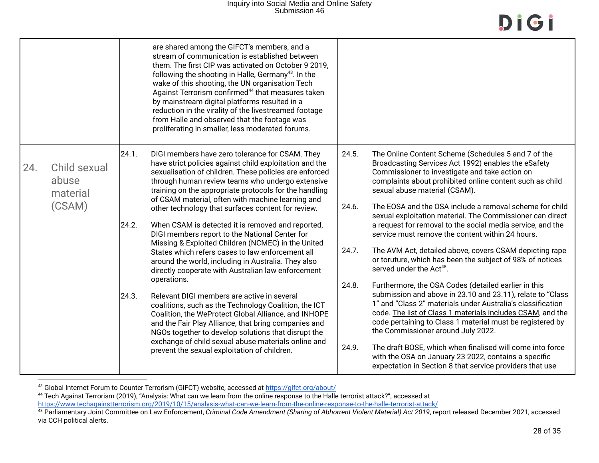|     |                                             |                         | are shared among the GIFCT's members, and a<br>stream of communication is established between<br>them. The first CIP was activated on October 9 2019,<br>following the shooting in Halle, Germany <sup>43</sup> . In the<br>wake of this shooting, the UN organisation Tech<br>Against Terrorism confirmed <sup>44</sup> that measures taken<br>by mainstream digital platforms resulted in a<br>reduction in the virality of the livestreamed footage<br>from Halle and observed that the footage was<br>proliferating in smaller, less moderated forums.                                                                                                                                                                                                                                                                                         |                                  |                                                                                                                                                                                                                                                                                                                                                                                                                                                                                                                                                                                                                                                                                                                                                                                                                                                          |
|-----|---------------------------------------------|-------------------------|----------------------------------------------------------------------------------------------------------------------------------------------------------------------------------------------------------------------------------------------------------------------------------------------------------------------------------------------------------------------------------------------------------------------------------------------------------------------------------------------------------------------------------------------------------------------------------------------------------------------------------------------------------------------------------------------------------------------------------------------------------------------------------------------------------------------------------------------------|----------------------------------|----------------------------------------------------------------------------------------------------------------------------------------------------------------------------------------------------------------------------------------------------------------------------------------------------------------------------------------------------------------------------------------------------------------------------------------------------------------------------------------------------------------------------------------------------------------------------------------------------------------------------------------------------------------------------------------------------------------------------------------------------------------------------------------------------------------------------------------------------------|
| 24. | Child sexual<br>abuse<br>material<br>(CSAM) | 24.1.<br>24.2.<br>24.3. | DIGI members have zero tolerance for CSAM. They<br>have strict policies against child exploitation and the<br>sexualisation of children. These policies are enforced<br>through human review teams who undergo extensive<br>training on the appropriate protocols for the handling<br>of CSAM material, often with machine learning and<br>other technology that surfaces content for review.<br>When CSAM is detected it is removed and reported,<br>DIGI members report to the National Center for<br>Missing & Exploited Children (NCMEC) in the United<br>States which refers cases to law enforcement all<br>around the world, including in Australia. They also<br>directly cooperate with Australian law enforcement<br>operations.<br>Relevant DIGI members are active in several<br>coalitions, such as the Technology Coalition, the ICT | 24.5.<br>24.6.<br>24.7.<br>24.8. | The Online Content Scheme (Schedules 5 and 7 of the<br>Broadcasting Services Act 1992) enables the eSafety<br>Commissioner to investigate and take action on<br>complaints about prohibited online content such as child<br>sexual abuse material (CSAM).<br>The EOSA and the OSA include a removal scheme for child<br>sexual exploitation material. The Commissioner can direct<br>a request for removal to the social media service, and the<br>service must remove the content within 24 hours.<br>The AVM Act, detailed above, covers CSAM depicting rape<br>or toruture, which has been the subject of 98% of notices<br>served under the Act <sup>48</sup> .<br>Furthermore, the OSA Codes (detailed earlier in this<br>submission and above in 23.10 and 23.11), relate to "Class<br>1" and "Class 2" materials under Australia's classification |
|     |                                             |                         | Coalition, the WeProtect Global Alliance, and INHOPE<br>and the Fair Play Alliance, that bring companies and<br>NGOs together to develop solutions that disrupt the<br>exchange of child sexual abuse materials online and<br>prevent the sexual exploitation of children.                                                                                                                                                                                                                                                                                                                                                                                                                                                                                                                                                                         | 24.9.                            | code. The list of Class 1 materials includes CSAM, and the<br>code pertaining to Class 1 material must be registered by<br>the Commissioner around July 2022.<br>The draft BOSE, which when finalised will come into force<br>with the OSA on January 23 2022, contains a specific<br>expectation in Section 8 that service providers that use                                                                                                                                                                                                                                                                                                                                                                                                                                                                                                           |

 $^{43}$  Global Internet Forum to Counter Terrorism (GIFCT) website, accessed at  $\frac{\text{https://gifct.org/about/}{\text{https://gifct.org/about/}{\text{?}}}\$ 

 $^{44}$  Tech Against Terrorism (2019), "Analysis: What can we learn from the online response to the Halle terrorist attack?", accessed at

https://www.techagainstterrorism.org/2019/10/15/analysis-what-can-we-learn-from-the-online-response-to-the-halle-terrorist-attack/

<sup>48</sup> Parliamentary Joint Committee on Law Enforcement, *Criminal Code Amendment (Sharing of Abhorrent Violent Material) Act 2019*, report released December 2021, accessed via CCH political alerts.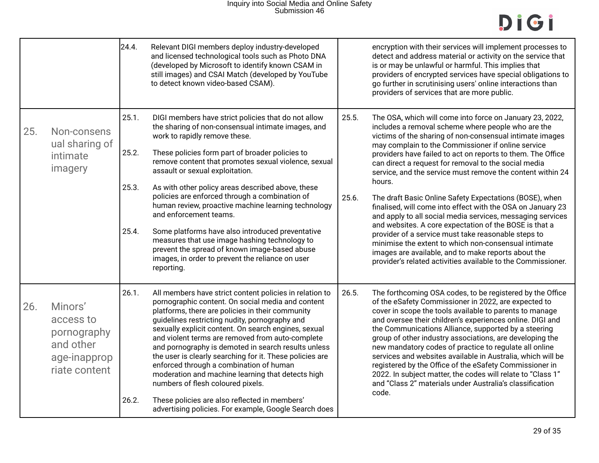|     |                                                                                   | 24.4.                            | Relevant DIGI members deploy industry-developed<br>and licensed technological tools such as Photo DNA<br>(developed by Microsoft to identify known CSAM in<br>still images) and CSAI Match (developed by YouTube<br>to detect known video-based CSAM).                                                                                                                                                                                                                                                                                                                                                                                                                                                   |                | encryption with their services will implement processes to<br>detect and address material or activity on the service that<br>is or may be unlawful or harmful. This implies that<br>providers of encrypted services have special obligations to<br>go further in scrutinising users' online interactions than<br>providers of services that are more public.                                                                                                                                                                                                                                                                                                                                                                                                                                                                                                                                                            |
|-----|-----------------------------------------------------------------------------------|----------------------------------|----------------------------------------------------------------------------------------------------------------------------------------------------------------------------------------------------------------------------------------------------------------------------------------------------------------------------------------------------------------------------------------------------------------------------------------------------------------------------------------------------------------------------------------------------------------------------------------------------------------------------------------------------------------------------------------------------------|----------------|-------------------------------------------------------------------------------------------------------------------------------------------------------------------------------------------------------------------------------------------------------------------------------------------------------------------------------------------------------------------------------------------------------------------------------------------------------------------------------------------------------------------------------------------------------------------------------------------------------------------------------------------------------------------------------------------------------------------------------------------------------------------------------------------------------------------------------------------------------------------------------------------------------------------------|
| 25. | Non-consens<br>ual sharing of<br>intimate<br>imagery                              | 25.1.<br>25.2.<br>25.3.<br>25.4. | DIGI members have strict policies that do not allow<br>the sharing of non-consensual intimate images, and<br>work to rapidly remove these.<br>These policies form part of broader policies to<br>remove content that promotes sexual violence, sexual<br>assault or sexual exploitation.<br>As with other policy areas described above, these<br>policies are enforced through a combination of<br>human review, proactive machine learning technology<br>and enforcement teams.<br>Some platforms have also introduced preventative<br>measures that use image hashing technology to<br>prevent the spread of known image-based abuse<br>images, in order to prevent the reliance on user<br>reporting. | 25.5.<br>25.6. | The OSA, which will come into force on January 23, 2022,<br>includes a removal scheme where people who are the<br>victims of the sharing of non-consensual intimate images<br>may complain to the Commissioner if online service<br>providers have failed to act on reports to them. The Office<br>can direct a request for removal to the social media<br>service, and the service must remove the content within 24<br>hours.<br>The draft Basic Online Safety Expectations (BOSE), when<br>finalised, will come into effect with the OSA on January 23<br>and apply to all social media services, messaging services<br>and websites. A core expectation of the BOSE is that a<br>provider of a service must take reasonable steps to<br>minimise the extent to which non-consensual intimate<br>images are available, and to make reports about the<br>provider's related activities available to the Commissioner. |
| 26. | Minors'<br>access to<br>pornography<br>and other<br>age-inapprop<br>riate content | 26.1.<br>26.2.                   | All members have strict content policies in relation to<br>pornographic content. On social media and content<br>platforms, there are policies in their community<br>guidelines restricting nudity, pornography and<br>sexually explicit content. On search engines, sexual<br>and violent terms are removed from auto-complete<br>and pornography is demoted in search results unless<br>the user is clearly searching for it. These policies are<br>enforced through a combination of human<br>moderation and machine learning that detects high<br>numbers of flesh coloured pixels.<br>These policies are also reflected in members'<br>advertising policies. For example, Google Search does         | 26.5.          | The forthcoming OSA codes, to be registered by the Office<br>of the eSafety Commissioner in 2022, are expected to<br>cover in scope the tools available to parents to manage<br>and oversee their children's experiences online. DIGI and<br>the Communications Alliance, supported by a steering<br>group of other industry associations, are developing the<br>new mandatory codes of practice to regulate all online<br>services and websites available in Australia, which will be<br>registered by the Office of the eSafety Commissioner in<br>2022. In subject matter, the codes will relate to "Class 1"<br>and "Class 2" materials under Australia's classification<br>code.                                                                                                                                                                                                                                   |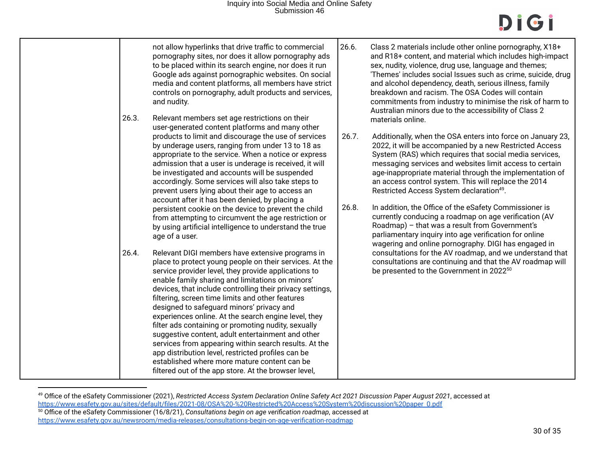|                                                                                                                                                                                                                                                                                                                                                                                                                                                                                                                                                                                                                                                                                                                                                                                           | not allow hyperlinks that drive traffic to commercial<br>pornography sites, nor does it allow pornography ads<br>to be placed within its search engine, nor does it run<br>Google ads against pornographic websites. On social<br>media and content platforms, all members have strict<br>controls on pornography, adult products and services,<br>and nudity.                                                                                                                                                                                                                                                                                                                                                                              | 26.6.                                                                                                                                                                                                                                 | Class 2 materials include other online pornography, X18+<br>and R18+ content, and material which includes high-impact<br>sex, nudity, violence, drug use, language and themes;<br>'Themes' includes social Issues such as crime, suicide, drug<br>and alcohol dependency, death, serious illness, family<br>breakdown and racism. The OSA Codes will contain<br>commitments from industry to minimise the risk of harm to<br>Australian minors due to the accessibility of Class 2                                                                                                                                                                                           |
|-------------------------------------------------------------------------------------------------------------------------------------------------------------------------------------------------------------------------------------------------------------------------------------------------------------------------------------------------------------------------------------------------------------------------------------------------------------------------------------------------------------------------------------------------------------------------------------------------------------------------------------------------------------------------------------------------------------------------------------------------------------------------------------------|---------------------------------------------------------------------------------------------------------------------------------------------------------------------------------------------------------------------------------------------------------------------------------------------------------------------------------------------------------------------------------------------------------------------------------------------------------------------------------------------------------------------------------------------------------------------------------------------------------------------------------------------------------------------------------------------------------------------------------------------|---------------------------------------------------------------------------------------------------------------------------------------------------------------------------------------------------------------------------------------|------------------------------------------------------------------------------------------------------------------------------------------------------------------------------------------------------------------------------------------------------------------------------------------------------------------------------------------------------------------------------------------------------------------------------------------------------------------------------------------------------------------------------------------------------------------------------------------------------------------------------------------------------------------------------|
| 26.3.                                                                                                                                                                                                                                                                                                                                                                                                                                                                                                                                                                                                                                                                                                                                                                                     | Relevant members set age restrictions on their<br>user-generated content platforms and many other<br>products to limit and discourage the use of services<br>by underage users, ranging from under 13 to 18 as<br>appropriate to the service. When a notice or express<br>admission that a user is underage is received, it will<br>be investigated and accounts will be suspended<br>accordingly. Some services will also take steps to<br>prevent users lying about their age to access an<br>account after it has been denied, by placing a<br>persistent cookie on the device to prevent the child<br>from attempting to circumvent the age restriction or<br>by using artificial intelligence to understand the true<br>age of a user. | 26.7.<br>26.8.                                                                                                                                                                                                                        | materials online.<br>Additionally, when the OSA enters into force on January 23,<br>2022, it will be accompanied by a new Restricted Access<br>System (RAS) which requires that social media services,<br>messaging services and websites limit access to certain<br>age-inappropriate material through the implementation of<br>an access control system. This will replace the 2014<br>Restricted Access System declaration <sup>49</sup> .<br>In addition, the Office of the eSafety Commissioner is<br>currently conducing a roadmap on age verification (AV<br>Roadmap) - that was a result from Government's<br>parliamentary inquiry into age verification for online |
| 26.4.<br>Relevant DIGI members have extensive programs in<br>place to protect young people on their services. At the<br>service provider level, they provide applications to<br>enable family sharing and limitations on minors'<br>devices, that include controlling their privacy settings,<br>filtering, screen time limits and other features<br>designed to safeguard minors' privacy and<br>experiences online. At the search engine level, they<br>filter ads containing or promoting nudity, sexually<br>suggestive content, adult entertainment and other<br>services from appearing within search results. At the<br>app distribution level, restricted profiles can be<br>established where more mature content can be<br>filtered out of the app store. At the browser level, |                                                                                                                                                                                                                                                                                                                                                                                                                                                                                                                                                                                                                                                                                                                                             | wagering and online pornography. DIGI has engaged in<br>consultations for the AV roadmap, and we understand that<br>consultations are continuing and that the AV roadmap will<br>be presented to the Government in 2022 <sup>50</sup> |                                                                                                                                                                                                                                                                                                                                                                                                                                                                                                                                                                                                                                                                              |

<sup>50</sup> Office of the eSafety Commissioner (16/8/21), *Consultations begin on age verification roadmap*, accessed at https://www.esafety.gov.au/newsroom/media-releases/consultations-begin-on-age-verification-roadmap <sup>49</sup> Office of the eSafety Commissioner (2021), *Restricted Access System Declaration Online Safety Act 2021 Discussion Paper August 2021*, accessed at https://www.esafety.gov.au/sites/default/files/2021-08/OSA%20-%20Restricted%20Access%20System%20discussion%20paper 0.pdf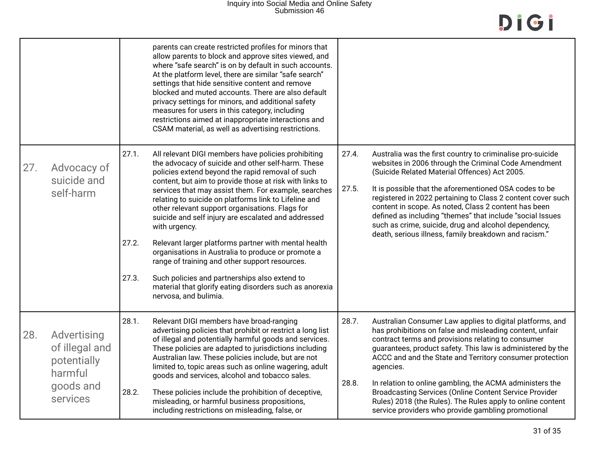|     |                                                                                  |                         | parents can create restricted profiles for minors that<br>allow parents to block and approve sites viewed, and<br>where "safe search" is on by default in such accounts.<br>At the platform level, there are similar "safe search"<br>settings that hide sensitive content and remove<br>blocked and muted accounts. There are also default<br>privacy settings for minors, and additional safety<br>measures for users in this category, including<br>restrictions aimed at inappropriate interactions and<br>CSAM material, as well as advertising restrictions.                                                                                                                                                                                                        |                |                                                                                                                                                                                                                                                                                                                                                                                                                                                                                                                                                               |
|-----|----------------------------------------------------------------------------------|-------------------------|---------------------------------------------------------------------------------------------------------------------------------------------------------------------------------------------------------------------------------------------------------------------------------------------------------------------------------------------------------------------------------------------------------------------------------------------------------------------------------------------------------------------------------------------------------------------------------------------------------------------------------------------------------------------------------------------------------------------------------------------------------------------------|----------------|---------------------------------------------------------------------------------------------------------------------------------------------------------------------------------------------------------------------------------------------------------------------------------------------------------------------------------------------------------------------------------------------------------------------------------------------------------------------------------------------------------------------------------------------------------------|
| 27. | Advocacy of<br>suicide and<br>self-harm                                          | 27.1.<br>27.2.<br>27.3. | All relevant DIGI members have policies prohibiting<br>the advocacy of suicide and other self-harm. These<br>policies extend beyond the rapid removal of such<br>content, but aim to provide those at risk with links to<br>services that may assist them. For example, searches<br>relating to suicide on platforms link to Lifeline and<br>other relevant support organisations. Flags for<br>suicide and self injury are escalated and addressed<br>with urgency.<br>Relevant larger platforms partner with mental health<br>organisations in Australia to produce or promote a<br>range of training and other support resources.<br>Such policies and partnerships also extend to<br>material that glorify eating disorders such as anorexia<br>nervosa, and bulimia. | 27.4.<br>27.5. | Australia was the first country to criminalise pro-suicide<br>websites in 2006 through the Criminal Code Amendment<br>(Suicide Related Material Offences) Act 2005.<br>It is possible that the aforementioned OSA codes to be<br>registered in 2022 pertaining to Class 2 content cover such<br>content in scope. As noted, Class 2 content has been<br>defined as including "themes" that include "social Issues<br>such as crime, suicide, drug and alcohol dependency,<br>death, serious illness, family breakdown and racism."                            |
| 28. | Advertising<br>of illegal and<br>potentially<br>harmful<br>goods and<br>services | 28.1.<br>28.2.          | Relevant DIGI members have broad-ranging<br>advertising policies that prohibit or restrict a long list<br>of illegal and potentially harmful goods and services.<br>These policies are adapted to jurisdictions including<br>Australian law. These policies include, but are not<br>limited to, topic areas such as online wagering, adult<br>goods and services, alcohol and tobacco sales.<br>These policies include the prohibition of deceptive,<br>misleading, or harmful business propositions,<br>including restrictions on misleading, false, or                                                                                                                                                                                                                  | 28.7.<br>28.8. | Australian Consumer Law applies to digital platforms, and<br>has prohibitions on false and misleading content, unfair<br>contract terms and provisions relating to consumer<br>guarantees, product safety. This law is administered by the<br>ACCC and and the State and Territory consumer protection<br>agencies.<br>In relation to online gambling, the ACMA administers the<br>Broadcasting Services (Online Content Service Provider<br>Rules) 2018 (the Rules). The Rules apply to online content<br>service providers who provide gambling promotional |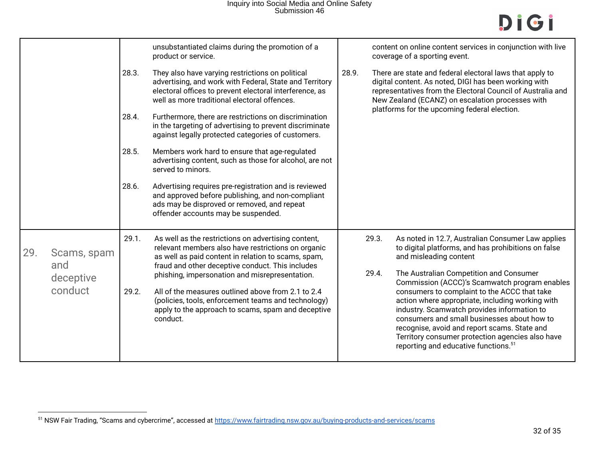|     |                    |       | unsubstantiated claims during the promotion of a<br>product or service.                                                                                                                                                |       | content on online content services in conjunction with live<br>coverage of a sporting event.                                                                                                                                                                                                                                                           |
|-----|--------------------|-------|------------------------------------------------------------------------------------------------------------------------------------------------------------------------------------------------------------------------|-------|--------------------------------------------------------------------------------------------------------------------------------------------------------------------------------------------------------------------------------------------------------------------------------------------------------------------------------------------------------|
|     |                    | 28.3. | They also have varying restrictions on political<br>advertising, and work with Federal, State and Territory<br>electoral offices to prevent electoral interference, as<br>well as more traditional electoral offences. | 28.9. | There are state and federal electoral laws that apply to<br>digital content. As noted, DIGI has been working with<br>representatives from the Electoral Council of Australia and<br>New Zealand (ECANZ) on escalation processes with                                                                                                                   |
|     |                    | 28.4. | Furthermore, there are restrictions on discrimination<br>in the targeting of advertising to prevent discriminate<br>against legally protected categories of customers.                                                 |       | platforms for the upcoming federal election.                                                                                                                                                                                                                                                                                                           |
|     |                    | 28.5. | Members work hard to ensure that age-regulated<br>advertising content, such as those for alcohol, are not<br>served to minors.                                                                                         |       |                                                                                                                                                                                                                                                                                                                                                        |
|     |                    | 28.6. | Advertising requires pre-registration and is reviewed<br>and approved before publishing, and non-compliant<br>ads may be disproved or removed, and repeat<br>offender accounts may be suspended.                       |       |                                                                                                                                                                                                                                                                                                                                                        |
| 29. | Scams, spam<br>and | 29.1. | As well as the restrictions on advertising content,<br>relevant members also have restrictions on organic<br>as well as paid content in relation to scams, spam,<br>fraud and other deceptive conduct. This includes   |       | 29.3.<br>As noted in 12.7, Australian Consumer Law applies<br>to digital platforms, and has prohibitions on false<br>and misleading content                                                                                                                                                                                                            |
|     | deceptive          |       | phishing, impersonation and misrepresentation.                                                                                                                                                                         |       | 29.4.<br>The Australian Competition and Consumer<br>Commission (ACCC)'s Scamwatch program enables                                                                                                                                                                                                                                                      |
|     | conduct            | 29.2. | All of the measures outlined above from 2.1 to 2.4<br>(policies, tools, enforcement teams and technology)<br>apply to the approach to scams, spam and deceptive<br>conduct.                                            |       | consumers to complaint to the ACCC that take<br>action where appropriate, including working with<br>industry. Scamwatch provides information to<br>consumers and small businesses about how to<br>recognise, avoid and report scams. State and<br>Territory consumer protection agencies also have<br>reporting and educative functions. <sup>51</sup> |

<sup>&</sup>lt;sup>51</sup> NSW Fair Trading, "Scams and cybercrime", accessed at https://www.fairtrading.nsw.gov.au/buying-products-and-services/scams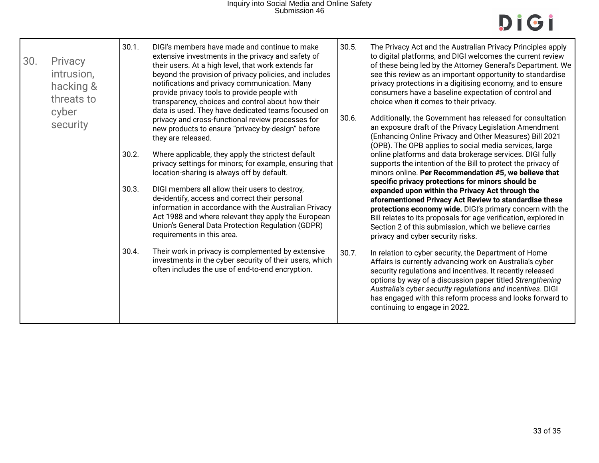| 30.<br>Privacy<br>intrusion,<br>hacking &<br>threats to<br>cyber<br>security | 30.1.<br>30.2.<br>30.3.<br>30.4. | DIGI's members have made and continue to make<br>extensive investments in the privacy and safety of<br>their users. At a high level, that work extends far<br>beyond the provision of privacy policies, and includes<br>notifications and privacy communication. Many<br>provide privacy tools to provide people with<br>transparency, choices and control about how their<br>data is used. They have dedicated teams focused on<br>privacy and cross-functional review processes for<br>new products to ensure "privacy-by-design" before<br>they are released.<br>Where applicable, they apply the strictest default<br>privacy settings for minors; for example, ensuring that<br>location-sharing is always off by default.<br>DIGI members all allow their users to destroy,<br>de-identify, access and correct their personal<br>information in accordance with the Australian Privacy<br>Act 1988 and where relevant they apply the European<br>Union's General Data Protection Regulation (GDPR)<br>requirements in this area.<br>Their work in privacy is complemented by extensive<br>investments in the cyber security of their users, which<br>often includes the use of end-to-end encryption. | 30.5.<br>30.6.<br>30.7. | The Privacy Act and the Australian Privacy Principles apply<br>to digital platforms, and DIGI welcomes the current review<br>of these being led by the Attorney General's Department. We<br>see this review as an important opportunity to standardise<br>privacy protections in a digitising economy, and to ensure<br>consumers have a baseline expectation of control and<br>choice when it comes to their privacy.<br>Additionally, the Government has released for consultation<br>an exposure draft of the Privacy Legislation Amendment<br>(Enhancing Online Privacy and Other Measures) Bill 2021<br>(OPB). The OPB applies to social media services, large<br>online platforms and data brokerage services. DIGI fully<br>supports the intention of the Bill to protect the privacy of<br>minors online. Per Recommendation #5, we believe that<br>specific privacy protections for minors should be<br>expanded upon within the Privacy Act through the<br>aforementioned Privacy Act Review to standardise these<br>protections economy wide. DIGI's primary concern with the<br>Bill relates to its proposals for age verification, explored in<br>Section 2 of this submission, which we believe carries<br>privacy and cyber security risks.<br>In relation to cyber security, the Department of Home<br>Affairs is currently advancing work on Australia's cyber<br>security regulations and incentives. It recently released<br>options by way of a discussion paper titled Strengthening<br>Australia's cyber security regulations and incentives. DIGI<br>has engaged with this reform process and looks forward to<br>continuing to engage in 2022. |
|------------------------------------------------------------------------------|----------------------------------|-------------------------------------------------------------------------------------------------------------------------------------------------------------------------------------------------------------------------------------------------------------------------------------------------------------------------------------------------------------------------------------------------------------------------------------------------------------------------------------------------------------------------------------------------------------------------------------------------------------------------------------------------------------------------------------------------------------------------------------------------------------------------------------------------------------------------------------------------------------------------------------------------------------------------------------------------------------------------------------------------------------------------------------------------------------------------------------------------------------------------------------------------------------------------------------------------------------|-------------------------|------------------------------------------------------------------------------------------------------------------------------------------------------------------------------------------------------------------------------------------------------------------------------------------------------------------------------------------------------------------------------------------------------------------------------------------------------------------------------------------------------------------------------------------------------------------------------------------------------------------------------------------------------------------------------------------------------------------------------------------------------------------------------------------------------------------------------------------------------------------------------------------------------------------------------------------------------------------------------------------------------------------------------------------------------------------------------------------------------------------------------------------------------------------------------------------------------------------------------------------------------------------------------------------------------------------------------------------------------------------------------------------------------------------------------------------------------------------------------------------------------------------------------------------------------------------------------------------------------------------------------------------------------------------------|
|------------------------------------------------------------------------------|----------------------------------|-------------------------------------------------------------------------------------------------------------------------------------------------------------------------------------------------------------------------------------------------------------------------------------------------------------------------------------------------------------------------------------------------------------------------------------------------------------------------------------------------------------------------------------------------------------------------------------------------------------------------------------------------------------------------------------------------------------------------------------------------------------------------------------------------------------------------------------------------------------------------------------------------------------------------------------------------------------------------------------------------------------------------------------------------------------------------------------------------------------------------------------------------------------------------------------------------------------|-------------------------|------------------------------------------------------------------------------------------------------------------------------------------------------------------------------------------------------------------------------------------------------------------------------------------------------------------------------------------------------------------------------------------------------------------------------------------------------------------------------------------------------------------------------------------------------------------------------------------------------------------------------------------------------------------------------------------------------------------------------------------------------------------------------------------------------------------------------------------------------------------------------------------------------------------------------------------------------------------------------------------------------------------------------------------------------------------------------------------------------------------------------------------------------------------------------------------------------------------------------------------------------------------------------------------------------------------------------------------------------------------------------------------------------------------------------------------------------------------------------------------------------------------------------------------------------------------------------------------------------------------------------------------------------------------------|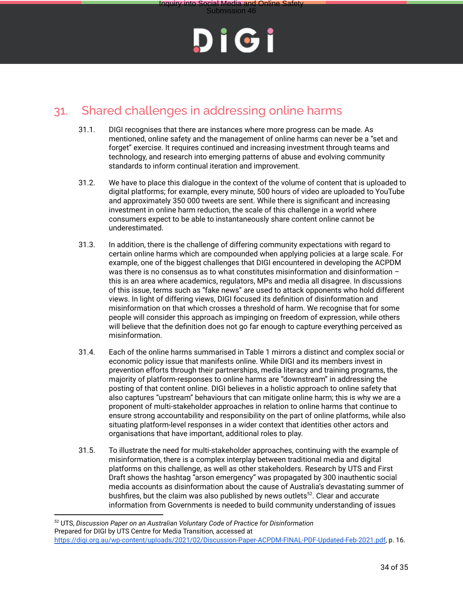

Submission 46

### 31. Shared challenges in addressing online harms

- 31.1. DIGI recognises that there are instances where more progress can be made. As mentioned, online safety and the management of online harms can never be a "set and forget" exercise. It requires continued and increasing investment through teams and technology, and research into emerging patterns of abuse and evolving community standards to inform continual iteration and improvement.
- 31.2. We have to place this dialogue in the context of the volume of content that is uploaded to digital platforms; for example, every minute, 500 hours of video are uploaded to YouTube and approximately 350 000 tweets are sent. While there is significant and increasing investment in online harm reduction, the scale of this challenge in a world where consumers expect to be able to instantaneously share content online cannot be underestimated.
- 31.3. In addition, there is the challenge of differing community expectations with regard to certain online harms which are compounded when applying policies at a large scale. For example, one of the biggest challenges that DIGI encountered in developing the ACPDM was there is no consensus as to what constitutes misinformation and disinformation – this is an area where academics, regulators, MPs and media all disagree. In discussions of this issue, terms such as "fake news" are used to attack opponents who hold different views. In light of differing views, DIGI focused its definition of disinformation and misinformation on that which crosses a threshold of harm. We recognise that for some people will consider this approach as impinging on freedom of expression, while others will believe that the definition does not go far enough to capture everything perceived as misinformation.
- 31.4. Each of the online harms summarised in Table 1 mirrors a distinct and complex social or economic policy issue that manifests online. While DIGI and its members invest in prevention efforts through their partnerships, media literacy and training programs, the majority of platform-responses to online harms are "downstream" in addressing the posting of that content online. DIGI believes in a holistic approach to online safety that also captures "upstream" behaviours that can mitigate online harm; this is why we are a proponent of multi-stakeholder approaches in relation to online harms that continue to ensure strong accountability and responsibility on the part of online platforms, while also situating platform-level responses in a wider context that identities other actors and organisations that have important, additional roles to play.
- 31.5. To illustrate the need for multi-stakeholder approaches, continuing with the example of misinformation, there is a complex interplay between traditional media and digital platforms on this challenge, as well as other stakeholders. Research by UTS and First Draft shows the hashtag "arson emergency" was propagated by 300 inauthentic social media accounts as disinformation about the cause of Australia's devastating summer of bushfires, but the claim was also published by news outlets<sup>52</sup>. Clear and accurate information from Governments is needed to build community understanding of issues

<sup>52</sup> UTS, *Discussion Paper on an Australian Voluntary Code of Practice for Disinformation* Prepared for DIGI by UTS Centre for Media Transition, accessed at https://digi.org.au/wp-content/uploads/2021/02/Discussion-Paper-ACPDM-FINAL-PDF-Updated-Feb-2021.pdf, p. 16.